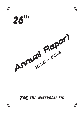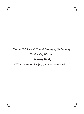*"On the 26th Annual General Meeting of the Company The Board of Directors Sincerely Thank*

*All Our Investors, Bankers, Customers and Employees"*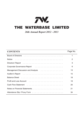

## THE WATERBASE LIMITED

*26th Annual Report 2012 - 2013*

| <b>CONTENTS</b>                                                                                                   | Page No.      |
|-------------------------------------------------------------------------------------------------------------------|---------------|
|                                                                                                                   | 1             |
| <b>Notice</b>                                                                                                     | $\mathcal{P}$ |
|                                                                                                                   | 3             |
| Corporate Governance Report (Corp. The Corporate Governance Report (Corp. The Corporation Corporation Corporation | 6             |
|                                                                                                                   | 13            |
|                                                                                                                   | 15            |
|                                                                                                                   | 18            |
|                                                                                                                   | 19            |
|                                                                                                                   | 20            |
|                                                                                                                   | 21            |
|                                                                                                                   | 34            |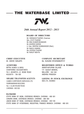# THE WATERBASE LIMITED



## *26th Annual Report 2012 - 2013*

## **BOARD OF DIRECTORS**

Mr. VIKRAM M THAPAR, Chairman Mr. ANIL KUMAR BHANDARI Lt. Gen. DEEPAK SUMMANWAR (Retd.) Mrs. JYOTI THAPAR Mr. ADARSH SARAN Mr. NAKUL KAMANI Ms. AYESHA THAPAR Mr. RANJIT MEHTA

## **CHIEF EXECUTIVE**

Mr. ASHOK NANJAPA

## **AUDITORS**

MITRA KUNDU & BASU **CHARTERED ACCOUNTANTS** No.1, ACHARYA J.C. BOSE ROAD KOLKATA - 700 020

## **SHARE TRANSFER AGENTS**

CAMEO CORPORATE SERVICES LTD. SUBRAMANIAN BUILDING No.1, CLUB HOUSE ROAD CHENNAI - 600 002

## **COMPANY SECRETARY**

Ms. SUGUNA KRISHNAMURTHY

## **REGISTERED OFFICE & WORKS**

ANANTHAPURAM VILLAGE T.P. GUDUR MANDAL NELLORE - 524 344 ANDHRA PRADESH

**LISTING IN STOCK EXCHANGE** BSE LTD., MUMBAI

## **BANKERS**

STATE BANK OF INDIA, OVERSEAS BRANCH, CHENNAI - 600 001 CANARA BANK, OVERSEAS BRANCH, CHENNAI - 600 002 UNION BANK OF INDIA, OVERSEAS BRANCH, CHENNAI - 600 108 STATE BANK OF HYDERABAD, INDUSTRIAL FINANCE BRANCH, CHENNAI - 600 001.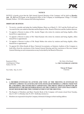

#### **NOTICE**

NOTICE is hereby given that the 26th Annual General Meeting of the Company will be held on *Monday, July 29, 2013 at 12.15 p.m* at the Registered Office of the Company at Ananthapuram Village, T P Gudur *.* Mandal, Nellore - 524 344 to transact the following business:

#### **ORDINARY BUSINESS**

- 1. To receive, consider and adopt the Audited Balance Sheet as at March 31, 2013 and the Profit and Loss Account for the year ended on that date and the Reports of the Board of Directors and the Auditors thereon.
- 2. To appoint a Director in place of Ms. Ayesha Thapar who retires by rotation and being eligible, offers herself for re-appointment.
- 3. To appoint a Director in place of Mr. Nakul Kamani who retires by rotation and being eligible, offers himself for re-appointment.
- 4. To appoint a Director in place of Mr. Ranjit Mehta who retires by rotation and being eligible, offers himself for re-appointment.
- 5. To appoint M/s Mitra Kundu & Basu, Chartered Accountants, as Statutory Auditors of the Company to hold office from the conclusion of this Annual General Meeting until the conclusion of the next Annual General Meeting on such remuneration as may be decided by the Board of Directors.

Ananthapuram Village, Nellore 524 344.

Registered Office: By Order of the Board For **THE WATERBASE LIMITED**

New Delhi, May 24, 2013

**Vikram M Thapar** Chairman

#### **Notes:**

- **1. A MEMBER ENTITLED TO ATTEND AND VOTE AT THE MEETING IS ENTITLED TO APPOINT A PROXY TO ATTEND AND VOTE INSTEAD OF HIMSELF. A PROXY NEED NOT BE A MEMBER. THE INSTRUMENT APPOINTING THE PROXY SHOULD, HOWEVER, BE DEPOSITED AT THE REGISTERED OFFICE OFTHE COMPANY NOT LESS THAN FORTY-EIGHTHOURS BEFORE THE COMMENCEMENTOFTHE MEETING.**
- 2. The Register of Members and Share Transfer Book of the Company will remain closed from Tuesday, July 23, 2013 to Monday July 29, 2013 (both days inclusive).
- 3. Members are requested to keep the Company informed of changes in their mailing address.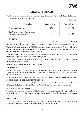

## **DIRECTORS' REPORT**

Your Directors have pleasure in presenting the twenty sixth Annual Report with the Audited Accounts for the financial year ended 31st March, 2013.

| <b>Particulars</b>                                               | <b>Current Year</b> | Previous Year |
|------------------------------------------------------------------|---------------------|---------------|
| Gross Sales / Services                                           | 1570.21             | 1034.72       |
| Profit before Interest Depreciation,<br>Tax and Exceptional Item | 126.23              | 111.35        |

#### **OPERATIONS**

During the year under review the gross revenue from sales and services of the Company increased to  $\bar{z}$  1570.21 million compared to  $\bar{\tau}$  1034.72 million in the previous year, registering an impressive growth of 51.75%.

The profit before tax expenses is at  $\bar{\xi}$  75.85 million in the current year compared to  $\bar{\xi}$  68.31 million in the previous year. The profit before interest depreciation, Tax and exceptional item in the current year is  $\bar{\tau}$  126.23 million as against  $\bar{\bar{\tau}}$  111.35 million of the previous year.

The Company's profitability was adversely affected due to steep increase in the prices of raw materials and increased cost of power due to excessive use of captive power.

The industry is in a turn around mode and the area under vannamei farming is rapidly increasing, resulting in increased demand for shrimp feed.

We forsee a steady growth in all the sectors of the industry.

#### **RIGHTS ISSUE**

SEBI has given its approval to the Rights Issue which was approved by the shareholders in the Annual General Meeting held on Friday, 2nd September, 2011 in the proportion of one equity share for every two shares held by the equity shareholders.

### **PARTICULARS OF CONSERVATION OF ENERGY, TECHNOLOGY ABSORPTION AND FOREIGN EXCHANGE EARNINGS AND OUTGO.**

Information pursuant to section 217( 1 ) ( e ) of the Companies Act 1956 read with the Companies ( Disclosure of Particulars in the Report of Board of Directors ) Rules, 1988 is given in Annexure – Aof the report.

#### **PARTICULARS OFEMPLOYEES**

During the year under review, no employee of the Company was in receipt of remuneration requiring disclosure under section 217 (2 A) of the Companies Act,1956, read with the Companies (Particulars of Employees) Rules, 1975.

#### **DIRECTORS**

Ms. Ayesha Thapar, Mr. Nakul Kamani and Mr. Ranjit Mehta, Directors, retire by rotation at the ensuing Annual General Meeting and being eligible offer themselves for re-appointment.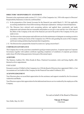

#### **DIRECTORS' RESPONSIBILITY STATEMENT**

Pursuant to the requirement under section 217 ( 2 AA ) of the Companies Act, 1956 with respect to Directors' Responsibility Statement, it is here by confirmed that :

- ( 1 ) In the preparation of the Annual Accounts for the financial year ended March 31, 2013 the applicable accounting standards have been followed along with proper explanation relating to material departures.
- ( 2 ) The Directors have selected such accounting policies and applied them consistently and made judgements and estimates that are reasonable and prudent so as to give a true and fair view of the state of the affairs of the Company at the end of the financial year and of the profit of the Company for the year under review.
- ( 3 ) The Directors have taken proper and sufficient care for the maintenance of adequate accounting records in accordance with the provisions of the Companies Act,1956 for safe guarding the assets of the Company and for preventing and detecting fraud and other irregularities.
- ( 4 ) The Directors have prepared the Annual Accounts on a "going concern basis".

#### **CORPORATE GOVERNANCE**

The Company has over the years been committed to good governance practices. Aseparate report on Corporate Governance together with auditors certificate regarding compliance of conditions of corporate governance under clause 49 of the listing agreement, forms part of the annual report.

#### **AUDITORS**

The Statutory Auditors M/s. Mitra Kundu & Basu, Chartered Accountants, retire and being eligible, offer themselves for re-appointment.

#### **COSTAUDIT**

Pursuant to section 233(B)(2) of the Companies Act,1956,the Board of Directors have appointed J.P&Co., Cost Accountants as Cost Auditor of the Company for the Financial Year ended 31stMarch, 2013.

#### **ACKNOWLEDGEMENT**

Your Directors place on record their appreciation for the assistance and support extended by the Government Authorities and Banks.

Your Directors express their appreciation for the dedicated and sincere service rendered by the employees of the Company.

For and on behalf of the Board of Directors

New Delhi, May 24, 2013

**Vikram M Thapar** *Chairman*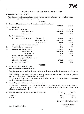

## **ANNEXURE TO THE DIRECTORS' REPORT**

#### **CONSERVATION OF ENERGY**

Your Company has implemented a system for continuous review of energy costs, to reduce energy generation costs and optimize energy utilization.

#### **FORM A**

#### **I Power and Fuel Consumption** (During the period of Manufacture)

| 1.               |    | Electricity                                          |                               | 2012-13   | 2011-12  |
|------------------|----|------------------------------------------------------|-------------------------------|-----------|----------|
|                  |    |                                                      |                               |           |          |
|                  | a) | Purchased:<br>- Units(Kwh)                           |                               | 5718750   | 5297550  |
|                  |    | - Total Amount - $\bar{\tau}$                        |                               | 32509671  | 23550800 |
|                  |    | - Rate / Unit - $\bar{\tau}$                         |                               | 5.68      | 4.45     |
|                  | b) | Own Generation:                                      |                               |           |          |
|                  |    | Through Diesel Generator:<br>$_{1}$                  | - Units(Kwh)                  | 963601    | 90514    |
|                  |    |                                                      | - Total Amount - $\bar{\tau}$ | 14624255  | 1415511  |
|                  |    |                                                      | - Rate / Unit - $\bar{\tau}$  | 15.18     | 15.64    |
|                  |    | Through Steam Turbine/Generator<br>$\overline{11}$ ) |                               | <b>NA</b> | NA.      |
| $\overline{2}$ . |    | <b>Coal</b> (Quality and where used)                 |                               | <b>NA</b> | NA.      |
| 3.               |    | <b>Furnace Oil- Quality (K.Lts)</b>                  |                               | 273.630   | 200.189  |
|                  |    | - Total Amount - $\bar{\tau}$                        |                               | 12382458  | 7316908  |
|                  |    | - Average Rate - $\bar{\xi}$                         |                               | 45.25     | 36.55    |
| 4.               |    | <b>Other / Internal Generation</b>                   |                               | <b>NA</b> | NA.      |
|                  |    | Consumption per unit of production                   |                               |           |          |
|                  |    | Electricity (Unit / MT)                              |                               | 205.14    | 239.54   |
|                  |    | Furnace Oil (Litres / MT)                            |                               | 8.40      | 8.90     |
|                  |    |                                                      |                               |           |          |

## **FORM B**

#### **A Research and Development (R & D)**

**II TECHNOLOGY ABSORPTION**

Your Company envisages R & D as a backbone in developing quality feeds to meet with market requirements.

The Company is constantly focusing to develop alternative raw materials in order to provide environmentally safe and affordable feed to the farmers.

The Company works closely with international nutritionists and renowned research institutes in order to develop the best feed formulations.

#### **B Technology Absorption, Adaptation and Innovation**

The Company is constantly engaged in finding alternatives to animal proteins which would reduce the reliance on scarce animal proteins. There is a constant effort being made to reduce the cost of feed inputs while improving its productivity.

| <b>III FOREIGN EXCHANGE EARNINGS AND OUTGO</b> | $2012 - 13$                    | 2011-12                     |
|------------------------------------------------|--------------------------------|-----------------------------|
|                                                |                                | $\bar{\bar{\tau}}$ in Lakhs |
| - Earnings                                     | 84.47                          | 460.16                      |
| - Outgo                                        | 722.57                         | 286.27                      |
|                                                | For and on behalf of the Board |                             |

|                         | Vikram M Thapar |
|-------------------------|-----------------|
| New Delhi, May 24, 2013 | Chairman        |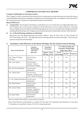

## **CORPORATE GOVERNANCE REPORT**

#### **Company's philosophy on code of governance:**

The Company is firmly committed to the best practices of corporate governance that aims to protect the interest of all stakeholders through accountability, transparency and sustained growth. In compliance with Clause 49 of the Listing Agreement, a report on Corporate governance is given below.

### **Board of Directors:**

**a) Composition:** The strength of the Board is eight Directors out of which four are independent Directors. The Company has a non-executive Chairman. All the Directors are non-executive Directors. There has been no change in the constitution of the Board during the previous year. Except for the sitting fees paid for attending Board meetings, the Company has not had any pecuniary relationship with any of the Directors.

#### **b) No of Board Meetings and dates on which held**

During the year, four Board Meetings were held as follows: May 30, 2012, July 25, 2012, October 30 2012, and January 30, 2013. The gap between two meetings did not exceed four months. The necessary quorum was present at all meetings.

#### **c) Attendance of the Directors at the Board Meetings/ the last Annual General Meeting**

| <b>Name of the Director</b>      | Category /<br>Relationship<br>with other                                               | <b>Attendance</b><br><b>Particulars</b> |                    | No. of Directorships and<br><b>Committee Memberships</b><br>(Other than TWL)* |                  |                  |
|----------------------------------|----------------------------------------------------------------------------------------|-----------------------------------------|--------------------|-------------------------------------------------------------------------------|------------------|------------------|
|                                  | <b>Directors</b>                                                                       | <b>Board</b><br><b>Meeting</b>          | Last<br><b>AGM</b> | No. of<br><b>Directorships</b>                                                | <b>Member</b>    | Chairman         |
| Mr. Vikram M Thapar,<br>Chairman | Non-Executive<br>Promoter                                                              | 4                                       | N <sub>0</sub>     | 8                                                                             | Nil              | $\overline{2}$   |
| Mrs. Jyoti Thapar                | Non-Executive<br>Promoter / Wife of<br>Mr. Vikram M. Thapar                            | 3                                       | No                 | $\overline{2}$                                                                | N <sub>i</sub> l | $\mathbf{1}$     |
| Mr. Anil Kumar Bhandari          | Non-Executive<br>Independent                                                           | $\mathfrak{D}$                          | $\rm N_{0}$        | 5                                                                             | <b>Nil</b>       | N <sub>i</sub> l |
| Mr. Adarsh Saran                 | Non-Executive<br>Promoter / brother in law<br>of Mr. Vikram M Thapar                   | $\mathbf{1}$                            | No                 | 3                                                                             | N <sub>i</sub> l | <b>Nil</b>       |
| Lt. Gen. Deepak Summanwar        | Non-Executive<br>Independent                                                           | $\mathcal{E}$                           | $\rm N_{0}$        | $\overline{2}$                                                                | N <sub>il</sub>  | Nil              |
| Mr. Nakul Kamani                 | Non-Executive<br>Independent                                                           | $\mathcal{E}$                           | No                 | 5                                                                             | Nil              | Nil              |
| Ms. Ayesha Thapar                | Non-Executive<br>Promoter / Daughter of<br>Mr. Vikram M. Thapar<br>& Mrs. Jyoti Thapar | $\overline{2}$                          | No                 | 3                                                                             | <b>Nil</b>       | <b>Nil</b>       |
| Mr. Ranjit Mehta                 | Non-Executive<br>Independent                                                           | 3                                       | N <sub>0</sub>     | Nil                                                                           | <b>Nil</b>       | N <sub>il</sub>  |

\*does not include Directorships of private limited companies.

None of the Directors of the Board is a member of more than 10 Committees and Chairman of more than 5 Committees as specified in clause 49 of the Listing Agreement.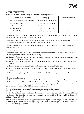

## **AUDIT COMMITTEE**:

**Composition, Number of Meetings and Attendance during the year.**

| <b>Name of the Member</b>         | Category                   | <b>Meetings attended</b> |
|-----------------------------------|----------------------------|--------------------------|
| Mr. Anil Kumar Bhandari, Chairman | Non-Executive, Independent |                          |
| Mr. Vikram M Thapar               | Non-Executive, Promoter    |                          |
| Lt. Gen. Deepak Summanwar         | Non-Executive, Independent |                          |
| Mr. Nakul Kamani                  | Non-Executive, Independent |                          |
| Mr. Ranjit Mehta                  | Non-Executive, Independent |                          |

The Chief Executive, Financial Controller and Internal Auditor attend the meetings as invitees. The Company Secretary acts as the Secretary of the Audit Committee.

The Company has complied with the requirements of the Companies Act 1956 and Clause 49(II)(A) of the Listing Agreement in the constitution and working of the Committee.

The Audit Committee met four times on the following dates : May 30, 2012, July 25, 2012, October 30, 2012, and January 30, 2013.

#### **Terms of reference:**

The terms of reference of Audit Committee cover all the areas prescribed by Clause 49(II)(D) and Section 292 A of the Companies Act 1956 and includes the following:

- a) Review of Company's financial reporting process, quarterly and annual financial statements, and disclosure of financial information.
- b) Review with the management, internal and external auditors, the adequacy of the internal control systems.
- c) Review of reports of the Internal Auditor and functioning of the Internal Audit team.
- d) Post Audit review with Statutory Auditors and discussions on findings, suggestions, and any areas of concern.
- e) Recommending the appointment/removal of Statutory Auditors, fixing of audit fees and approval for payment for any other services.

#### **Remuneration Committee :**

The Remuneration Committee consists of Mr. Anil Kumar Bhandari, Chairman, Lt. Gen. Deepak Summanwar, Mr. Nakul Kamani, and Mr. Ranjit Mehta. The broad terms of reference of the Remuneration committee is to determine and approve remuneration payable to the Managerial personnel of the Company within the provisions of the Companies Act 1956 and amendments thereto.

## **Investor /Shareholders Grievance Committee and Share transferCommittee :**

The Committee comprises of two non executive Directors Mr. Anil Kumar Bhandari, the Chairman, and Lt. Gen Deepak Summanwar. Ms.Suguna Krishnamurthy, Company Secretary is the Compliance Officer of the Company. The Committee met four times during the year on May 30, 2012, July 25, 2012, October 30, 2012 and January 30, 2013.

Share transfers in the physical form are approved on a fortnightly basis by the Company Secretary and these are confirmed by the Committee at its meetings. Requests for demat of shares are processed within a period of 14 days by the Company's Registrars.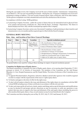

During the year under review, the Company received 50 cases of share transfer / transmission / transposition. As on March 31, 2013 no case was pending for transfer. During the year, 18 queries/complaints were received 5 pertaining to change of address, 3 for non-receipt of annual reports, share certificates, and 10 for other matters. All the queries/complaints were duly attended and resolved to the satisfaction of the investors.

In compliance with the Listing / SEBI guidelines:

- a) A practising Company Secretary audits the system of shares that are de-materialised and in physical form every quarter and necessary certificates are filed with the Stock Exchange / Depositaries. The shares in demat and physical form tally with the issued/paid up capital of the Company.
- b) Apractising Company Secretary carries out a Secretarial Compliance Audit pertaining to share transfers and transmissions every six months and the required report is filed with the Stock Exchange.

## **GENERAL BODY MEETING:**

**Date, time, and location of last three General Meetings:**

| Year        | Date                  | Time        | Location                                             | <b>Special resolutions passed</b>                                                                                                                                                                                                                  |
|-------------|-----------------------|-------------|------------------------------------------------------|----------------------------------------------------------------------------------------------------------------------------------------------------------------------------------------------------------------------------------------------------|
| $2009 - 10$ | 27.09.2010 11.30 a.m. |             | Regd. office at<br>Ananthapuram<br>Village, Nellore. | 1) Re-classification of share capital<br>2) Alteration of Articles of Association<br>3) Issue of Preference Share Capital                                                                                                                          |
| 2010-11     | 02.09.2011            | $12.15$ p.m | -do-                                                 | 1) Reclassification of share capital<br>2) Alteration of Articles of Association<br>3) Reappointment of Manager and payment of remuneration<br>4) Approval of preferential issue of equity shares<br>5) Approval for rights issue of equity shares |
| $2011 - 12$ | 28.09.2012 12.15 p.m. |             | $-do-$                                               | <b>NIL</b>                                                                                                                                                                                                                                         |

No postal ballots were used for voting at these meetings in respect of special resolutions passed.

#### **Committee for Rights issue of Equity shares :**

The Board constituted a Committee for issue of Rights equity shares, at its meeting dated September 27,2011 pursuant to Article 113 of Articles of Association. The members of the Committee are Mr. Anil Kumar Bhandari, Lt. Gen. Deepak Summanwar, and Mr. Ranjit Mehta. The terms of reference of the Committee are as follows:

- a) To appoint Merchant bankers, Registrars, Solicitors, Bankers and all other agencies who would be required in order to comply with the requirements of the issue of rights equity shares.
- b) To finalize and approve the letter of offer for the rights issue.
- c) To deal with all matters related to the issue and allotment of the rights shares in consultation with the BSE Ltd and SEBI including issue of share certificates in accordance with the relevant rules.
- d) To take such steps and do all such acts, deeds, matters and things and accept all alterations and modifications as may be deemed fit and proper and give directions as may be necessary to settle any questions or any matters that may arise in regard to the issue and allotment of the said equity shares including the power to allot unsubscribed equity shares, if any, in such manner as may be most beneficial to the Company."

The Committee met thrice during the year on May 30, 2012, July 25, 2012 and January 30, 2013.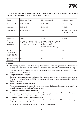#### **PARTICULARS OFDIRECTORS SEEKING APPOINTMENT/REAPPOINTMENTAS REQUIRED UNDER CLAUSE 49 (VI) AOFTHE LISTING AGREEMENT**

| <b>Name</b>                                                             | Ms. Ayesha Thapar                                                                                    | Mr. Nakul Kamani                                                                                                                                             | Mr. Ranjit Mehta                                       |
|-------------------------------------------------------------------------|------------------------------------------------------------------------------------------------------|--------------------------------------------------------------------------------------------------------------------------------------------------------------|--------------------------------------------------------|
| Date of birth $\&$ Age                                                  | $01.11.1977 / 36$ years                                                                              | 21.04.1954 / 59 years                                                                                                                                        | $11.02.1948 / 65$ years                                |
| Appointed on                                                            | 01.02.2010                                                                                           | 22.02.2010                                                                                                                                                   | 27.10.2010                                             |
| Qualification                                                           | B.A. (Economics)                                                                                     | B.Com.                                                                                                                                                       | B.A. (Hons.) (Economics)<br>Institute of Bankers, U.K. |
| Experience                                                              | 13 years                                                                                             | 33 years                                                                                                                                                     | 40 years                                               |
| Directorship<br>held in other<br>Companies                              | 1. Indian City Properties Ltd.<br>2. Handy Waterbase India (P) Ltd.<br>3. Integrated Realty (P) Ltd. | 1. Samarth Engineering Co. P Ltd.<br>2. Sparx Technologies P Ltd.<br>3. Steel City Press Ltd.<br>4. Brosco Designs P. Ltd.<br>5. Rushabh Investments P. Ltd. | NIL.                                                   |
| Membership/<br>Chairmanship of<br>Committees across<br>public companies | Nil                                                                                                  | <b>Nil</b>                                                                                                                                                   | Nil                                                    |
| No of shares held in<br>Company                                         | 51,875                                                                                               | Nil                                                                                                                                                          | Nil                                                    |

#### **Disclosures:**

#### **a) Materially significant related party transactions with its promoters, Directors or management or relatives etc that may have a potential conflict with the interest of the Company.**

Details of transactions between the Company and related parties as per Accounting Standard 18 is set out on page 32 of the Annual report.

#### **b) Compliances by the Company**

There has been no case of non compliance by the Company, or any penalties / strictures imposed on the Company by the Stock Exchange, SEBI or any other authority on any matter related to capital markets in the last three years.

#### **c) Board disclosure – Risk management**

Risk management is done through review of the operations by the Board and necessary steps taken by the executive management to minimize /control the same.

#### **d) Compliance with mandatory requirements**

The Company has complied with all mandatory requirements of Corporate Governance stipulated under Clause 49 of Listing Agreement with the BSE Ltd.

#### **e) Compliance with Non-mandatory requirements**

- i) There is no reimbursement of expenses to the office of the Non-Executive Chairman of the Company for the maintenance of his office.
- ii) The statutory financial statements of the Company are not qualified.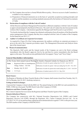

- iii) The Company does not have a formal Whistle Blower policy. However access to Audit Committee is available to every employee.
- iv) Preparation of financial statements are on the basis of generally accepted accounting principles and policies and the mandatory accounting standards announced by the Institute of Chartered Accountants of India.

#### **f) Declaration of compliance with the Code of Conduct**

All the Directors and Senior Management Personnel have affirmed compliance with the Code of Conduct as approved and adopted by the Board of Directors. The said Code of Conduct has also been posted on the website of the Company. Adeclaration signed by the Manager and Chief Executive is given below:

"It is hereby declared that the Company has obtained confirmation from all members of the Board and the senior management of the Company that they have complied with the Code of Conduct of the Company for the financial year 2012-13."

#### **g) Auditor's Certificate on Corporate Governance**

As required by Clause 49 of the Listing agreement, the auditors certificate on corporate governance is given at the end of the Corporate governance report. The Management Discussion and Analysis forms part of the Annual report.

#### **h) Means of communication:**

The Quarterly, Half yearly and the Annual results of the Company are sent to the Stock exchange immediately after the Board's approval, first by fax and then by courier immediately after the Board approves the same. The results are also published in the Newspapers "Surya" and "News Today".

#### **General Shareholders information:**

|             |                      |                                   | (i) The Twenty Sixth Annual General Meeting (ii) Tentative Financial Calender for Financal year 2013-14 |
|-------------|----------------------|-----------------------------------|---------------------------------------------------------------------------------------------------------|
| Venue       |                      | Registered Office at Ananthapuram | Publication of results for quarter ending June 30, 2013 - July 30, 2013                                 |
|             |                      | Village, Nellore $-$ 524 344.     | Publication of results for quarter / half year ending Sep 30, 2013 - Nov 2013                           |
| Date        | $\ddot{\phantom{a}}$ | Monday, July 29, 2013             | Publication of results for quarter/nine month ending Dec 31, 2013 - Feb 2014                            |
| <b>Time</b> |                      | $12.15$ p.m.                      | Publication of Audited results for 2013-14 - May 2014                                                   |

#### **Book Closure:**

The Register of Members & Share Transfer Books of the Company shall remain closed from Tuesday, July 23, 2013 to Monday, July 29, 2013 (both days inclusive).

#### **Listing on Stock Exchanges**:

At present the Company is listed with the BSE Ltd. The annual listing fee to the BSE Ltd. and custodial fees to NSDL/CDSLhave been paid. The BSE Stock Code of the Company is 523660.

#### **Registrars and Share TransferAgent:**

M/s. Cameo Corporate Services Ltd are the Registrars and Share Transfer Agents of the Company.

#### **Dematerialisation of Shares:**

The Company has connectivity with M/s. National Securities Depositories Ltd. (NSDL) and Central Depository Services Ltd (CDSL) through the Registrars, M/s. Cameo Corporate Services Ltd. As on 31/3/2013,74.15% of our paid up share capital has been dematerialized as against 73.96% in the previous year. The ISIN number of the Company is INE054C01015.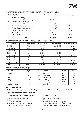

#### **CATEGORIES OF EQUITY SHARE HOLDING AS ON MARCH 31, 2013**

| <b>CATEGORY:</b> |                                            | No. of Equity Shares | % of Shareholding |
|------------------|--------------------------------------------|----------------------|-------------------|
| $\mathbf{A}$ .   | <b>Promoters holdings</b>                  |                      |                   |
|                  | Indian Promoters/Persons acting in concert | 8,238,112            | 32.01             |
| В.               | <b>Non Promoters holdings:</b>             |                      |                   |
|                  | Mutual Funds and UTI                       | 7,000                | 0.03              |
|                  | <b>Financial Institutions and Banks</b>    | 434                  | 0.00              |
|                  | Foreign Institutional Investor             | 1,600                | 0.01              |
|                  | Private Corporate Bodies                   | 2,599,612            | 10.10             |
|                  | Indian Public                              | 9,769,238            | 37.95             |
|                  | NRIs / OCBs                                | 5,119,504            | 19.90             |
|                  | Total                                      | 25,735,500           | 100.00            |

## **DISTRIBUTION OF SHAREHOLDING AS ON MARCH 31, 2013**

| No of shares   | <b>No of Share Holders</b> | % of Holders | <b>No of Shares</b> | % to Total Shares |
|----------------|----------------------------|--------------|---------------------|-------------------|
| $1 - 5000$     | 19392                      | 98.68%       | 5,289,507           | 20.56%            |
| 5001-10000     | 133                        | $0.68\%$     | 1,001,826           | 3.90%             |
| 10001-20000    | 54                         | $0.28\%$     | 771,274             | $3.00\%$          |
| 20001-30000    | 19                         | 0.10%        | 481,526             | 1.87%             |
| 30001-40000    | 6                          | $0.03\%$     | 219,865             | 0.85%             |
| 40001-50000    | 11                         | $0.05\%$     | 521,336             | 2.02%             |
| 50001-100000   | 11                         | $0.05\%$     | 697,844             | 2.71%             |
| 100001 & above | 25                         | $0.13\%$     | 16,752,322          | 65.09%            |
| <b>TOTAL</b>   | 19651                      | 100.00%      | 25,735,500          | 100.00%           |

#### $\text{MARKET PRICE DATA : } (\text{in } \overline{5})$

| Month        | High  | Low   | Month       | High  | Low   |
|--------------|-------|-------|-------------|-------|-------|
| April 12     | 13.95 | 10.66 | October 12  | 16.29 | 11.26 |
| May 12       | 16.00 | 11.80 | November 12 | 13.40 | 10.26 |
| June 12      | 13.75 | 10.36 | December 12 | 13.80 | 10.41 |
| July 12      | 18.60 | 12.75 | January 13  | 12.88 | 9.98  |
| August 12    | 15.90 | 12.21 | February 13 | 11.80 | 7.00  |
| September 12 | 14.99 | 12.41 | March 13    | 9.55  | 6.02  |

#### **PLANT LOCATION:**

The Company's Factory is located at Ananthapuram Village, T.P. Gudur Mandal, Nellore – 524 344.

#### **ADDRESS FOR CORRESPONDENCE:**

| <b>Registrars and Share Transfer Agents</b> | <b>Compliance Officer</b>                    |
|---------------------------------------------|----------------------------------------------|
| Cameo Corporate Services Ltd                | The Company Secretary                        |
| Subramanian Building                        | The Waterbase Ltd                            |
| 1, Club House Road,                         | 22, Sadasivam Street, Gopalapuram,           |
| Chennai 600 002. Ph: 044-28460390           | Chennai 600 086. Ph: 044-28110682 / 28110684 |
| Email id – investor@cameoindia.com          | Email id: waterbasechennai@gmail.com         |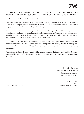## **AUDITORS' CERTIFICATE ON COMPLIANCE WITH THE CONDITIONS OF CORPORATE GOVERNANCE UNDER CLAUSE 49 OF THE LISTING AGREEMENT**

## **To the Members of The Waterbase Limited**

We have examined the compliance of conditions of Corporate Governance by The Waterbase Limited, the Company for the year ended 31 March 2013 as stipulated in clause 49 of the Listing Agreement of the said Company with Stock Exchanges.

The compliance of conditions of Corporate Governance is the responsibility of the management. Our examination was limited to procedures and implementation thereof, adopted by the Company for ensuring the compliance of the conditions of Corporate Governance. It is neither an audit nor an expression of opinion on the financial statements of the Company.

In our opinion and to the best of our information and according to the explanations given to us, and the representation made by the Directors and the Management, we certify that the Company has complied with the conditions of Corporate Governance as stipulated in the above mentioned Listing Agreement.

We further state that such compliance is neither an assurance as to the future viability of the Company nor the efficiency or effectiveness with which the Management has conducted the affairs of the Company.

> For and on behalf of **MITRA KUNDU & BASU** *Chartered Accountants*

*Firm Regn. No. 302061E*

## **SIBAJI DAS**

*Partner* New Delhi, May 24, 2013 *Membership No. 051391*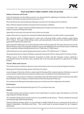

## **MANAGEMENT DISCUSSION AND ANALYSIS**

#### **Industry Structure and Trends**

In the last financial year the Indian economy was characterized by tightening of monetary policy to combat inflation. The Indian economic growth was at a low of 5%.

Due to both domestic and international challenges economic activity and growth were affected.

Many of the developed economies in Europe faced recessionary conditions.

Fortunately USA, a major consumer of Indian shrimps showed signs of economic recovery. This had a positive impact on exports of shrimps from India.

Japan after several years of low growth is now on the recovery path.

Inspite of the adverse economic environment the Indian Shrimp Industry was able to deliver a growth path.

The vannamei variety of shrimps played a major role in boosting India's marine products export during 2012-13 fiscal. The export of this shrimp variety, cultivated primarily in the East Coast, fetched \$730 million against \$385 million in the earlier year.

India exported 91,000 tonnes of vannamei shrimps in the last fiscal against 40,787 tonnes the previous year, the Marine Products Export Development Authority sources said adding that the total shrimp exports comprising tiger, scampi and vannamei during the period was 2.2 lakh tones (1.8 lakh tonnes).

In this financial year, the country had garnered export revenue of  $\bar{\tau}$  19,000 crore (\$ 3.5 billion).

The projected increase in export of shrimp is expected to increase by 20% in volume and 25% in terms of value.

Official sources of the Seafood Exporters Association of India said that Vannamei exports registered a considerable increase in last three years, primarily due to the increased production by aqua farms in Andhra Pradesh.

#### **Threats / Risks and Concerns**

The world economic situation continues to cause concern due to slow recovery in the developed economies.

Being a part of living technology, disease will always be a threat.

Acute shortage of electricity which is a major input for farming of the vannamei species of shrimp is a cause of concern as this would result in increased use of captive power resulting in increased production cost.

Continuous increase in prices of inputs in commodities like Fish Meal and Soya Meal would adversely affect the profitability of the Company as could be observed from the financials of this year.

New entrants in the Shrimp feed manufacturing sector would increase the competition in the market.

#### **Performance**

In the current year the shrimp feed sales grew by 51% over the previous year.

#### **Outlook**

The improvement in the economic scenario in the United States is a positive sign to the Industry as US is the major importer of Indian Shrimps.

The Vannamei shrimp species has proved to be very profitable for the farmers. This has resulted in increased area being brought under shrimp farming.

Vannamei Shrimp farming which was concentrated in Andhra Pradesh has now commenced in the states of Gujarat, Maharashtra, TamilNadu and Orissa. This would result in increased demand for the Company's shrimp feed.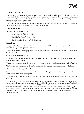

#### **Internal Control System**

The Company has adequate Internal control systems and procedures with regard to all activities of the Company including purchase of raw materials, stores and spares and to ensure that the assets are safeguarded and accounted for. The internal control is supplemented by an extensive program of internal audits, review by management policies and procedures.

The Audit Committee reviews the reports of the internal auditor and their suggestions are considered and implemented wherever thought necessary to ensure adequate controls.

#### **Financial Performance**

For the year the Company recorded:

- Net revenues at  $\bar{\tau}$  1575.97 million
- Profit before Tax at  $\bar{\tau}$  75.85 million
- $\bullet$ Profit after Tax Expense at  $\bar{\mathfrak{c}}$  60.08 million

#### $\overline{a}$ **Rights Issue**

As approved by the shareholders, the Company has submitted to SEBI the required data for the Rights Issue and SEBI has since given its inprinciple approval.

The issue contemplates one equity share for every two equity shares held and the size of the issue would be ₹.1,286,77,500.

#### **Corporate Social Responsibility**

The Company provides technical support to the shrimp farmers through its qualified and technically trained staff at no cost to the farmers.

The Company conducts regular farmer meets to provide the farmers with the latest updates on shrimp farming.

The Company also engages the services of international technologists to ensure quality inputs to the farmers.

#### **Human Resources/ Industrial relations**

The Employees relationship is cordial and the Directors wish to place on record their appreciation for their continued contribution to the Company.

The Company also provides necessary training to its staff to enhance their skills and support their personal development.

The Statement in this Management discussion and analysis report detailing the Company's objectives, projections, estimates and expectations may be"Forward-looking statements" within the meaning of applicable security laws and regulations. Actual results could differ materially from those expressed or implied. Important factors that could make a difference to the Company's operations include economic conditions affecting global and Indian demand /supply and the price conditions, in the domestic and overseas markets, material availability, climatic conditions, changes in the government regulations, tax laws and other statutes and other incidental factors.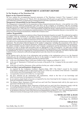

## **INDEPENDENT AUDITOR'S REPORT**

#### **To The Members of The Waterbase Ltd.**

#### **Report on the Financial Statement**

We have audited the accompanying financial statements of The Waterbase Limited ("The Company") which st comprise the Balance Sheet as at 31 March, 2013, the Statement of Profit and Loss and Cash Flow Statement for the year ended and a summary of significant accounting policies and other explanatory information.

#### **Management's Responsibility for the Financial Statements**

The Management is responsible for the preparation of these financial statements that give a true and fair view of the financial position, financial performance and cash flows of the Company in accordance with the accounting principles generally accepted in India including Accounting Standards referred to in sub-section (3C) of section 211 of the Companies Act, 1956 "(the Act"). This responsibility includes the design, implementation and maintenance of internal control relevant to the preparation and presentation of the financial statements that give a true and fair view and are free from material misstatement, whether due to fraud or error.

#### **Auditors'Responsibility**

Our responsibility is to express an opinion on these financial statements based on our audit. We conducted our audit in accordance with the Standards on Auditing issued by the Institute of Chartered Accountants of India. Those Standards require that we comply with ethical requirements and plan and perform the audit to obtain reasonable assurance about whether the financial statements are free from material misstatement.

An audit involves performing procedures to obtain audit evidence about the amounts and disclosures in the financial statements. The procedures selected depend on the auditor's judgement, including the assessment of the risks of material misstatement of the financial statements, whether due to fraud or error. In making these risk assessments, the auditor considers internal control relevant to the Company's preparation and fair presentation of the financial statements in order to design audit procedures that are appropriate in the circumstances. An audit also includes evaluating the appropriateness of accounting policies used and the reasonableness of the accounting estimates made by management, as well as evaluating the overall presentation of the financial statements. We believe that the audit evidence we have obtained is sufficient and appropriate to provide a basis for our audit opinion.

#### **Opinion**

In our opinion and to the best of our information and according to the explanations given to us, the financial statements give the information required by the Act in the manner so required and give a true and fair view in conformity with the accounting principles generally accepted in India:

- (i) in the case of the Balance Sheet, of the state of affairs of the Company as at March 31, 2013;
- (ii) in the case of Statement of Profit and Loss Account, of the profit of the Company for the year ended on that date; and
- (iii) in the case of Cash Flow Statement, of the cash flows for the year ended on that date.

#### **Report on OtherLegal and Regulatory Requirements**

- 1. As required by the Companies (Auditor's Report) Order, 2003 ("the Order") issued by the Central Government of India in terms of sub-sec(4A) of Sec 227 of the Act, we enclose in the Annexure a statement on the matters specified in paragraph 4 and 5 of the order.
- 2. As required by section 227(3) of the Act, we report that:
- (i) We have obtained all the information and explanations, which to the best of our knowledge and belief were necessary for the purposes of our audit;
- (ii) In our opinion, proper books of account, as required by law, have been kept by the Company so far as appears from our examination of those books;
- (iii) The Balance Sheet, Statement of Profit and Loss and Cash Flow Statement dealt with by this report are in agreement with the books of account;
- (iv) In our opinion, the Balance Sheet, Statement of Profit and Loss and Cash Flow Statement comply with the Accounting Standards referred to in sub-section (3C) of section 211 of the Companies Act, 1956;
- (v) On the basis of written representations received from the Directors as on March 31, 2013, and taken on record by the Board of Directors, none of the Directors are disqualified as on March 31, 2013, from being appointed as a Director in terms of clause (g) of sub-section (1) of section 274 of the Companies Act, 1956.

#### For **MITRA KUNDU & BASU**

*Chartered Accountants Firm Regn. No. 302061E*

## **SIBAJI DAS** *Partner*

New Delhi, May 24, 2013 *Membership No. 051391*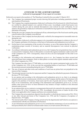

#### **ANNEXURE TO THE AUDITOR'S REPORT (referred to in paragraph 5 of our report of even date)**

Referred to our report to the members of The Waterbase Limited for the year ended 31 March, 2013.

- 1. (a) The Company has maintained proper records showing full particulars including quantitative details and situation of fixed assets.
	- (b) The Company has a regular programme of physical verification of its fixed assets by which fixed assets are verified in a phased manner over a period of three years. Accordingly certain fixed assets were verified during the year and no material discrepancies were noticed on such verification. In our opinion, this periodicity of physical verification is reasonable having regard to the size of the Company and nature of its assets.
	- (c) During the year, the Company has not disposed off any substantial part of the fixed assets and the going concern status of the Company is not affected.
- 2. (a) The inventory of the Company has been physically verified by the management at reasonable intervals during the year.
	- (b) The procedure of physical verification appears to be reasonable and adequate in relation to the size of the Company and nature of its business, on the basis of information and explanation received by us.
	- (c) On the basis of our examination of the records of inventory, we are of the opinion that the Company is maintaining proper records of inventory and no material discrepancies were noticed on physical verification.
- 3. (a) According to information and explanations given to us, the Company has not granted any loan, secured or unsecured to Companies, firms or other parties covered in the register maintained under section 301 of the Companies Act, 1956. Consequently, clause (iii) (b) (c) & (d) of paragraph 4 of the order is not applicable.
	- (b) According to the information and explanations given to us the Company has taken secured and unsecured loans from companies, firms or other parties covered in the register maintain under section 301 of the Companies Act, 1956:

The Company has taken loan of  $\bar{\tau}$  680 lakhs as covered in the register maintained under section 301 of the Companies Act, 1956. At the year end, the outstanding balance of such loan is  $\bar{\tau}$  680 lakhs and the maximum amount outstanding during the year is  $\bar{\mathfrak{F}}$  680 lakhs.

- (c) The rate of interest and other terms and conditions of such loan are prima-facie not prejudicial to the interest of the Company,
- (d) The principal amount is not due for repayment and the Company has defaulted in payment of interest to the tune of  $\bar{\tau}$  194.92 lakhs.
- 4. In our opinion and according to the information and explanations given to us, there is an adequate internal control system commensurate with the size of the Company and the nature of its business with regard to the purchase of inventory, fixed assets and for sale of goods and services. Further, on the basis of our examinations, and according to the information and explanations given to us, we have neither come across nor have we been informed of any instance of major weakness in the aforesaid internal control system.
- 5. In our opinion there are no contracts or arrangements that need to be entered in the register maintained under section 301 of the Companies Act, 1956. Accordingly, the provision of clause  $4(y)(b)$  of the Order is not applicable to the Company and hence not commented upon.
- 6. The Company has not accepted any deposits from the public to which the provision section 58A, 58AA or any other relevant provisions of the Companies Act, 1956 and the Companies (Acceptance of Deposit) rules, 1975 apply.
- 7. The internal audit of the Company is being carried out by the departmental staff which in our opinion is commensurate with the size and nature of its business.
- 8. As per information and explanations given to us it is noted that the maintenance of cost records has not been prescribed by the Central Government under clause ( d ) of sub-section 209 of the Act.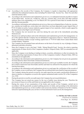

- 9. (a) According to the records of the Company, the Company is regular in depositing with appropriate authorities the undisputed statutory dues including Provident Fund, Income Tax, Sales Tax and other material statutory dues.
	- (b) According to the information and explanations given to us, no undisputed amounts payable in respect of provident fund, income tax, wealth tax, sales tax, customs duty, excise duty and other material statutory dues were outstanding, as at 31st March 2013 for a period of more than six months from the date they became payable.
- 10. According to information and explanations given to us, there are no disputed dues of sales tax, incometax, customs tax/wealth-tax, excise duty/cess which have not been deposited except, Import Duty of 535.36 lakhs levied by Custom Authority against import of raw materials, which is under appeal by ` the department in the High Court of Chennai.
- 11. The Company has not incurred any cash loss during the year and in the immediately preceding financial year.
- 12. Based on our audit procedures and on the information and explanations given by the management, we are of the opinion that the Company has not defaulted in repayment of dues to financial institutions, banks or debenture holders except working capital loan of  $\bar{\tau}$  459.85 lakhs from Canara Bank which is under dispute / litigation.
- 13. The Company has not granted loans and advances on the basis of security by way of pledge of shares, debentures and other securities.
- 14. Since the Company is not a chit fund / Nidhi / Mutual Benefit Fund / Society, the relative reporting requirements of clause 4(xiii) of the Companies (Auditor's Report) Order, 2003 (as amended) are not applicable.
- 15. Since the Company is not dealing or trading in shares, securities, debentures or other investments, the relative reporting requirements of clause 4(xiv) of the Companies (Auditor's Report) Order, 2003 (as amended) are not applicable.
- 16. According to the information and explanations given to us, the Company has not given any guarantee for loans taken by others from bank or financial institutions.
- 17. According to the information and explanations given to us and as per available records, the Company has availed a fresh term loan from banks and the said fund was utilized for the purposes for which the loan has been taken.
- 18. According to the information and explanations given to us and asper the verification of the records of the Company, on an overall basis, the Company has not utilised short term fund for long term purposes.
- 19. The Company during the period covered by our audit report has not made a preferential allotment of shares to parties or companies covered in the register maintained under section 301 of the Companies Act, 1956.
- 20. During the period covered by our audit report, the Company has not issued debentures
- 21. The Company has not raised any money by the way of public issue during the year. Therefore the provisions of clause (xx) of the said Order are not applicable to the Company.
- 22. During the course of our examination of the books and records of the Company, carried out in accordance with the generally accepted auditing practices in India, and according to the information and explanations given to us, we have neither come across any instance of fraud on or by the Company, noticed or reported during the year, nor have we been informed of such case by the management.

#### For **MITRA KUNDU & BASU**

*Chartered Accountants Firm Regn. No. 302061E*

#### **SIBAJI DAS** *Partner Membership No. 051391*

New Delhi, May 24, 2013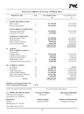

## **BALANCE SHEET AS AT 31st MARCH 2013**

|                                                                                  | <b>PARTICULARS</b>                                                                 | <b>Note</b>                        | <b>31st MARCH 2013</b><br>₹             | 31st MARCH 2012<br>₹                             |
|----------------------------------------------------------------------------------|------------------------------------------------------------------------------------|------------------------------------|-----------------------------------------|--------------------------------------------------|
| L.                                                                               | <b>SHARE HOLDERS FUNDS</b>                                                         |                                    |                                         |                                                  |
|                                                                                  | Share Capital                                                                      | $\overline{c}$                     | 257,355,000                             | 257,355,000                                      |
|                                                                                  | Reserves and Surplus                                                               | $\overline{3}$                     | 345,149,052                             | 285,065,008                                      |
|                                                                                  | <b>NON-CURRENT LIABILITIES:</b>                                                    |                                    |                                         |                                                  |
|                                                                                  | Long-term Borrowings                                                               | $\overline{4}$                     | 101,840,861                             | 104,511,402                                      |
|                                                                                  | Long-term Provisions                                                               | 5                                  | 10,938,889                              | 9,211,375                                        |
|                                                                                  | <b>CURRENT LIABILITIES:</b>                                                        |                                    |                                         |                                                  |
|                                                                                  | Short-term Borrowings                                                              | 6                                  | 216,788,060                             | 85,126,672                                       |
|                                                                                  | <b>Trade Payables</b>                                                              | 7                                  | 362,947,920                             | 328,744,671                                      |
|                                                                                  | Other Current Liabilities                                                          | $\,$ 8 $\,$                        | 79,834,943                              | 41,681,264                                       |
|                                                                                  | <b>Short-term Provisions</b>                                                       | 9                                  | 16,412,708                              | 14,345,435                                       |
|                                                                                  | <b>TOTAL</b>                                                                       |                                    | 1,391,267,433                           | 1,126,040,827                                    |
| П.                                                                               | <b>ASSETS:</b><br><b>NON-CURRENT ASSETS:</b>                                       |                                    |                                         |                                                  |
|                                                                                  | <b>Fixed Assets</b><br><b>Tangible Assets</b>                                      | 10                                 | 152,161,860                             | 156,382,244                                      |
|                                                                                  | Capital work-in-progress                                                           |                                    | 4,263,623                               | 4,652,171                                        |
|                                                                                  | Long-term Investments                                                              | 11                                 | 3,770,450                               | 3,770,450                                        |
|                                                                                  | Deferred Tax Assets                                                                | 12                                 | 23,310,898                              | 39,076,345                                       |
|                                                                                  | Long-term Loans and Advances                                                       | 13                                 | 24,888,208                              | 20, 147, 813                                     |
|                                                                                  | <b>III. CURRENT ASSETS:</b>                                                        |                                    |                                         |                                                  |
|                                                                                  | Investments                                                                        | 14                                 | 700,000                                 | 200,000                                          |
|                                                                                  | Inventories                                                                        | 15                                 | 352,581,721                             | 314,095,401                                      |
|                                                                                  | Trade Receivable                                                                   | 16                                 | 457,901,613                             | 344,044,148                                      |
|                                                                                  | Cash and Bank Balance                                                              | 17                                 | 214,789,409                             | 123,641,920                                      |
|                                                                                  | Short-term Loans & Advances                                                        | 18                                 | 123,517,801                             | 112,997,407                                      |
|                                                                                  | <b>Other Current Assets</b>                                                        | 19                                 | 33,381,850                              | 7,032,928                                        |
|                                                                                  | <b>TOTAL</b>                                                                       |                                    | 1,391,267,433                           | 1,126,040,827                                    |
|                                                                                  | <b>Significant Accounting Policies and</b><br><b>Notes on Financial Statements</b> | 1 to 38                            |                                         |                                                  |
|                                                                                  | As per our separate report of even date.                                           |                                    |                                         |                                                  |
|                                                                                  |                                                                                    |                                    | For and on behalf of the Board          |                                                  |
| For MITRA KUNDU & BASU<br><b>Chartered Accountants</b><br>Firm Regn. No. 302061E |                                                                                    | <b>Vikram M Thapar</b><br>Chairman |                                         | <b>Anil Kumar Bhandari</b><br>Director           |
| Sibaji Das<br>Partner<br>Membership No. 051391                                   |                                                                                    |                                    | <b>Ashok Nanjapa</b><br>Chief Executive | <b>Suguna Krishnamurthy</b><br>Company Secretary |
|                                                                                  | New Delhi, May 24, 2013                                                            |                                    |                                         |                                                  |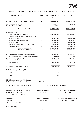

## **PROFIT AND LOSS ACCOUNT FOR THE YEAR ENDED 31st MARCH 2013**

|    | <b>PARTICULARS</b>                                                                 | <b>Note</b>                             | <b>31st MARCH 2013</b><br>₹    | 31st MARCH 2012<br>₹                             |
|----|------------------------------------------------------------------------------------|-----------------------------------------|--------------------------------|--------------------------------------------------|
| I. | <b>REVENUE FROM OPERATIONS:</b>                                                    | 20                                      | 1,570,208,533                  | 1,034,718,907                                    |
|    | II. OTHER INCOME:                                                                  | 21                                      | 5,766,357                      | 6,602,075                                        |
|    | <b>TOTAL INCOME</b>                                                                |                                         | 1,575,974,890                  | 1,041,320,982                                    |
|    | <b>III. EXPENSES:</b>                                                              |                                         |                                |                                                  |
|    | Cost of Materials Consumed<br>Change In Inventories of Finished Goods              | 22                                      | 1,042,696,468                  | 657,889,417                                      |
|    | & Work-in-Process                                                                  | 23                                      | 62,576,659                     | 33,987,307                                       |
|    | <b>Employees Benefit Expense</b>                                                   | 24                                      | 67,231,656                     | 55,657,723                                       |
|    | <b>Finance Costs</b>                                                               | 25                                      | 21,994,497                     | 18,237,367                                       |
|    | Depreciation and Amortization Expenses                                             |                                         | 28,097,037                     | 24,633,607                                       |
|    | Other Expenses                                                                     | 26                                      | 277,235,084                    | 182,439,033                                      |
|    | <b>TOTAL EXPENSES</b>                                                              |                                         | 1,499,831,401                  | 972,844,454                                      |
|    | IV. Profit before Exceptional Items and Tax                                        |                                         | 76,143,489                     | 68,476,528                                       |
|    | Exceptional Item -Profit (loss) on Sale of fixed Assets                            | 27                                      | (293,996)                      | (159,216)                                        |
|    | V. Profit/(Loss) before Tax                                                        |                                         | 75,849,493                     | 68,317,312                                       |
|    | Tax Expense                                                                        |                                         | 15,765,447                     | 11,975,139                                       |
|    | VI. Profit/(Loss) for the period                                                   |                                         | 60,084,046                     | 56, 342, 173                                     |
|    | <b>VII. Earnings per Equity Share:</b>                                             |                                         |                                |                                                  |
|    | <b>Basic</b>                                                                       |                                         | 2.33                           | 2.19                                             |
|    | Diluted                                                                            |                                         | 2.33                           | 2.19                                             |
|    | <b>Significant Accounting Policies and</b><br><b>Notes on Financial Statements</b> | 1 to 38                                 |                                |                                                  |
|    | As per our separate report of even date.                                           |                                         | For and on behalf of the Board |                                                  |
|    | For MITRA KUNDU & BASU<br><b>Chartered Accountants</b><br>Firm Regn. No. 302061E   | <b>Vikram M Thapar</b><br>Chairman      |                                | <b>Anil Kumar Bhandari</b><br>Director           |
|    | Sibaji Das<br>Partner<br>Membership No. 051391                                     | <b>Ashok Nanjapa</b><br>Chief Executive |                                | <b>Suguna Krishnamurthy</b><br>Company Secretary |
|    | New Delhi, May 24, 2013                                                            |                                         |                                |                                                  |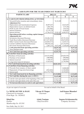

#### **CASH FLOW FOR THE YEAR ENDED 31ST MARCH 2013**

|                           | <b>PARTICULARS</b>                                   | 2012-13         |                | 2011-12        |                |
|---------------------------|------------------------------------------------------|-----------------|----------------|----------------|----------------|
|                           |                                                      | ₹               | ₹              | ₹              | ₹              |
| A.                        | <b>CASH FLOW FROM OPERATING ACTIVITIES</b>           |                 |                |                |                |
|                           | Net profit before taxation and extraordinary items   |                 | 76,143,489     |                | 68,476,528     |
|                           | <b>Adjustment for:</b>                               |                 |                |                |                |
|                           | Depreciation and Amortization Expenses               | 28,097,037      |                | 24,633,607     |                |
|                           | Depreciation reserve on deleted Assets               | 1,064,745       |                | 5,375,366      |                |
|                           | Profit on sale of Fixed Assets                       | (293,996)       |                | (159,216)      |                |
|                           | <b>Interest Expenses</b>                             | 12,179,778      |                | 8,530,603      |                |
|                           | <b>Interest Income</b>                               | (5,766,357)     | 35,281,207     | (6,602,075)    | 31,778,285     |
|                           | Operating profit before working capital changes      |                 | 111,424,696    |                | 100,254,813    |
|                           | <b>Adjustments for:</b>                              |                 |                |                |                |
|                           | Inventories (Increase)/Decrease                      | (38, 486, 322)  |                | (29, 781, 836) |                |
|                           | Trade Receivables (Increase)/Decrease                | (113, 857, 465) |                | (20,676,894)   |                |
|                           | Other Current Assets (Increase)/Decrease             | (36,869,317)    |                | 22,874,712     |                |
|                           | Current Liabilities Increase/(Decrease)              | 204,018,316     |                | (31, 532, 076) |                |
|                           | Provisions Increase/(Decrease)                       | 2,067,273       | 16,872,485     | 13,438,644     | (45,677,450)   |
|                           | Cash generated from operating activities             |                 | 128,297,181    |                | 54,577,363     |
|                           | Taxes paid/provided                                  |                 | 15,765,447     |                | 11,975,139     |
|                           | Net Cash from operating activities                   |                 | 112,531,734    |                | 42,602,224     |
|                           | <b>B.</b> Cash flow from investing activities        |                 |                |                |                |
|                           | Purchase of fixed assets                             | (24, 552, 850)  |                | (24, 820, 539) |                |
|                           | Purchase of investment                               | (500,000)       |                | (200,000)      |                |
|                           | Interest received                                    | 5,766,357       |                | 6,602,075      |                |
|                           | Long terms loans & Advances                          | 11,025,052      |                | (2,796,988)    |                |
|                           | <b>Net Cash from/(used in) investing activities</b>  |                 | (8,261,441)    |                | (21, 215, 452) |
| $\overline{\mathbf{C}}$ . | <b>Cash flows from financing activities</b>          |                 |                |                |                |
|                           | Proceeds from issuance of share capital              |                 |                | 10,000,000     |                |
|                           | Repayment of long term borrowings                    | (943, 026)      |                | (2,584,000)    |                |
|                           | Interest paid                                        | (12, 179, 778)  |                | (8,530,603)    |                |
|                           | Net Cash from/(used in) in financing activities      |                 | (13, 122, 804) |                | (1, 114, 603)  |
|                           | Net Cash flow during the year $(A+B+C)$              |                 | 91,147,489     |                | 20,272,169     |
|                           | Cash & Cash equivalents at the beginning of the year |                 | 123,641,920    |                | 103,369,751    |
|                           | Cash & Cash equivalents at the end of the year       |                 | 214,789,409    |                | 123,641,920    |
|                           | Net increase/(decrease) in cash & cash equivalents   |                 | 91,147,489     |                | 20,272,169     |

As per our report of even date For and on behalf of the Board

For **MITRA KUNDU & BASU**

*Chartered Accountants Firm Regn. No. 302061E*

**Sibaji Das**

 *Partner Membership No. 051391* New Delhi, May 24, 2013

**Vikram M Thapar Anil Kumar Bhandari**  $Chairman$ 

**Ashok Nanjapa Suguna Krishnamurthy**<br> *Chief Executive Company Secretary*  $Company$  *Secretary*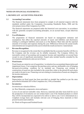

## **NOTES ON FINANCIAL STATEMENTS :**

### **1. SIGNIFICANT ACCOUNTING POLICIES**

#### **1.1 Accounting Convention:**

The financial statements have been prepared to comply in all material respects with the standards notified under the Companies (Accounting Standards) Rules, 2006 and the relevant provision of the Companies Act,1956.

The financial statements are prepared under the historical cost convention, in accordance with the generally accepted accounting principles, on an accrual basis, except otherwise stated.

#### **1.2 Use of Estimates:**

The preparation of financial statements are based on management estimates and assumptions that affect the reported amounts of assets and liabilities and disclosures relating to contingent liabilities and assets as at the Balance Sheet date and the reported amounts of revenues and expenses during the year. Differences between the actual results and estimation are recognized in the year in which the results are known / materialized.

#### **1.3 Revenue Recognition:**

Revenue is recognized to the extent that it is probable that the economic benefits will flow to the Company and the revenue can be reliably measured. The Company follows the mercantile system of accounting and recognizes income and expenditure on accrual basis except in case of significant uncertainties. Export sales include benefits extended by the Government and domestic sales are net of taxes.

#### **1.4 Fixed Assets:**

Fixed Assets are stated at cost of acquisition / revaluation less accumulated depreciation and impairment losses. Cost comprises the purchase price and any attributable cost of bringing the asset to its working condition for its intended use. Financing cost relating to construction of assets are also included to the extent they relate to the period till such assets are ready to be put to use. Financing cost not relating to construction of assets are charged to the income statements.

## **1.5 Depreciation:**

Depreciation on fixed assets has been provided on straight line method as per the rates prescribed in Schedule XIVof the Companies Act, 1956, as amended.

#### **1.6 Inventories:**

Inventories are valued as follows:

(a) Raw Materials, components, stores and spares -

Lower of cost and net realizable value. However, materials and other items held for use in the production of inventories are not written below cost if the finished products in which they will be incorporated are expected to be sold at or above cost. Cost is determined on a weighted average basis and includes relevant cost of bringing those materials at their present location and condition.

(b) Work-in-Progress and Finished Goods -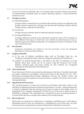

Lower of cost and net realizable value. Cost includes direct materials, labour and a portion of manufacturing overheads based on normal operating capacity or actual production whichever is less.

#### **1.7 Foreign Currency:**

(a) Initial Recognition:

Foreign currency transactions are recorded in the reporting currency by applying to the foreign currency amount the exchange rate between the reporting currency and the foreign currency, at the date of transaction.

(b) Conversion:

Foreign currency monetary items are reported using the closing rate.

(c ) Exchange Differences:

Exchange differences arising on the settlement of monetary items of the Company at rates different from those at which they were initially recorded during the year, or reported in previous financial statements, are recognized as income or expenses in the year in which they arise.

### **1.8 Investments:**

Long-term investments are carried at cost less provision, if any for permanent diminution in value of such investments.

### **1.9 Employee Benefits:**

- (i) In the case of defined contribution plans such as Provident Fund etc., the Company's contribution to these plans are charged to statement of Profit and Loss.
- (ii) Liability for defined benefit plans is provided on the basis of valuations as at the Balance Sheet date, carried out by an actuary using the Projected Unit Credit Method. Actuarial gains and losses arising on such valuation are recognized immediately in the Statement of Profit and Loss.

## **1.10 Taxes On Income:**

Taxes On income for the current period are determined on the basis of taxable income and tax credits computed in accordance with the provisions of the Income Tax Act, 1961. Deferred tax is recognized for all timing differences between the taxable income and accounting income that originate in one period and are capable of reversal in one or more subsequent periods.

#### **1.11 Impairment of Fixed Assets:**

The carrying amounts of Assets are reviewed at each balance sheet date if there is any indication of impairment based on internal/external factors. An asset / cash generating unit is treated as impaired when the carrying cost of assets exceeds its recoverable value. An impairment loss is charged to Statement of Profit & Loss in the year in which an asset is identified as impaired. The impairment loss recognized in prior accounting periods is reversed if there has been a change in the estimate of recoverable amount.

#### **1.12 Borrowing Cost:**

Borrowing cost incurred on construction or acquiring a qualifying asset, which takes a substantial period of time for construction, is capitalized as cost of that asset. All other borrowing cost is recognized as an expense in the period in which they are incurred.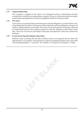

## **1.13 Segment Reporting:**

The Company is engaged in the nature of an integrated system of functioning and thus considered to constitute one single primary segment. However, information about secondary segment that is geographical revenue by geographical markets is being recorded.

## **1.14 Provision:**

Aprovision is recognized when an enterprise has a present obligation as a result of past event; it is probable that an outflow of resources will be required to settle the obligation, in respect of which a reliable estimate can be made. Provisions are not discounted to its present value and are determined based on best estimate required to settle the obligation at the balance sheet date. These are reviewed at each balance sheet date and adjusted to reflect the current best estimates.

### **1.15 Events Occurring after Balance Sheet Date:**

Material events occurring after the date of balance sheet are recognized and are dealt with appropriately in accordance with generally accepted accounting principles and as provided in Accounting Standard – 4 issued by the Institute of Chartered Accountants of India.

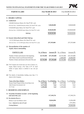

| <b>PARTICULARS</b>                                                      |                                                                                                                                                                                   |                      | <b>31st MARCH 2013</b>           |               | 31st MARCH 2012        |  |
|-------------------------------------------------------------------------|-----------------------------------------------------------------------------------------------------------------------------------------------------------------------------------|----------------------|----------------------------------|---------------|------------------------|--|
|                                                                         |                                                                                                                                                                                   |                      | ₹                                |               | ₹                      |  |
| 2 : SHARE CAPITAL                                                       |                                                                                                                                                                                   |                      |                                  |               |                        |  |
| 2.1 Authorised                                                          |                                                                                                                                                                                   |                      |                                  |               |                        |  |
|                                                                         | 5,00,000 Preference Shares, Par Value ₹ 100/- each                                                                                                                                |                      |                                  |               |                        |  |
|                                                                         | (Previous Year: 5,00,000 Preference Shares, Par Value ₹ 100/- each)                                                                                                               |                      | 5,00,00,000                      |               | 5,00,00,000            |  |
|                                                                         | 4,50,00,000 Equity Shares, Par Value ₹ 10/- each                                                                                                                                  |                      |                                  |               |                        |  |
|                                                                         | (Previous Year: 4,50,00,000 Equity Shares, Par Value ₹ 10/- each)                                                                                                                 |                      | 45,00,00,000                     |               | 45,00,00,000           |  |
|                                                                         | <b>TOTAL</b>                                                                                                                                                                      |                      | 50,00,00,000                     |               | 50,00,00,000           |  |
| 2.2 Issued, Subscribed and Fully Paid-up                                |                                                                                                                                                                                   |                      |                                  |               |                        |  |
|                                                                         | 2,57,35,500 Equity Shares, Par Value ₹ 10/- each                                                                                                                                  |                      |                                  |               |                        |  |
|                                                                         | (Previous Year: 2,57,35,500 Equity Shares, Par Value ₹ 10/- each)                                                                                                                 |                      | 257,355,000                      |               | 257,355,000            |  |
| 2.3 Reconciliation of the number of<br><b>Equity shares outstanding</b> |                                                                                                                                                                                   |                      |                                  |               |                        |  |
| <b>PARTICULARS</b>                                                      |                                                                                                                                                                                   | No. of Shares        | Amount $(\overline{\mathbf{x}})$ | No. of Shares | Amount $(\bar{\zeta})$ |  |
|                                                                         | Number of shares and amount at the beginning                                                                                                                                      | 25,735,500           | 257,355,000                      | 24,735,500    | 247,355,000            |  |
|                                                                         | Add: Shares issued on preferencial allotment                                                                                                                                      |                      |                                  | 1,000,000     | 10,000,000             |  |
|                                                                         | Number of shares and amount at the end of the year                                                                                                                                | 25,735,500           | 257,355,000                      | 25,735,500    | 257,355,000            |  |
| share.                                                                  | 2.4 The Company has issued only one class of shares viz.,<br>Equity Shares having a Par Value of $\overline{\xi}$ 10. Each<br>holder of equity shares is entitled to one vote per |                      |                                  |               |                        |  |
| shares in the Company.                                                  | 2.5 The details of shareholders holding more than 5 %                                                                                                                             |                      |                                  |               |                        |  |
| Name of the Share Holders                                               |                                                                                                                                                                                   | <b>No. of Shares</b> | % of Holding                     | No. of Shares | % of Holding           |  |
|                                                                         | Karam Chand Thapar & Bros (Coal Sales) Ltd.                                                                                                                                       | 5,937,906            | 23.07                            | 5,937,906     | 23.07                  |  |
| Indo Oceanic Investments Ltd.                                           |                                                                                                                                                                                   | 2,475,000            | 9.62                             | 2,475,000     | 9.62                   |  |
| J C T Ltd.                                                              |                                                                                                                                                                                   | 1,450,000            | 5.63                             | 1,450,000     | 5.63                   |  |
| <b>3 : RESERVES AND SURPLUS</b>                                         |                                                                                                                                                                                   |                      |                                  |               |                        |  |
| and end of the year                                                     | 3.1 Securities Premium Account - at the beginning                                                                                                                                 |                      | 117,349,276                      |               | 117,349,276            |  |
| <b>3.2 Revaluation Reserve</b>                                          |                                                                                                                                                                                   |                      |                                  |               |                        |  |
| Balance as per last Balance sheet                                       |                                                                                                                                                                                   |                      | 10,844,896                       |               | 11,036,498             |  |
| Less : Adjusted on sale of Land                                         |                                                                                                                                                                                   |                      |                                  |               | (191,602)              |  |
| <b>Closing Balance</b>                                                  |                                                                                                                                                                                   |                      | 10,844,896                       |               | 10,844,896             |  |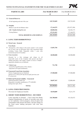

| <b>PARTICULARS</b>                                                                                                                                                                                                                   | <b>31st MARCH 2013</b><br>₹ | 31st MARCH 2012<br>₹      |
|--------------------------------------------------------------------------------------------------------------------------------------------------------------------------------------------------------------------------------------|-----------------------------|---------------------------|
| <b>3.3 General Reserves</b>                                                                                                                                                                                                          |                             |                           |
| At the beginning and end of the year                                                                                                                                                                                                 | 129,725,859                 | 129,725,859               |
| 3.4 Surplus                                                                                                                                                                                                                          |                             |                           |
| Balance as per the last Balance sheet                                                                                                                                                                                                | 27, 144, 975                | (29, 197, 198)            |
| Add: Surplus during the year                                                                                                                                                                                                         | 60,084,046                  | 56, 342, 173              |
| Closing Balance<br><b>TOTAL RESERVES AND SURPLUS</b>                                                                                                                                                                                 | 87,221,021<br>345,149,052   | 27,144,975<br>285,065,008 |
| <b>4: LONG TERM BORROWINGS</b>                                                                                                                                                                                                       |                             |                           |
| 4.1 Term Loan - Secured                                                                                                                                                                                                              |                             |                           |
| <b>From Banks</b>                                                                                                                                                                                                                    |                             |                           |
| $(i)$ (Secured by a first charge on the assets created / to be created<br>out of Term Loan on pari-passu basis with consortium banks<br>excluding Canara Bank. Repayable within 5 years after<br>moratorium period of 8 months)      | 13,051,704                  | 2,815,272                 |
| (ii) From Associates                                                                                                                                                                                                                 | 20,500,000                  | 20,500,000                |
| (Secured by a first mortgage and charge<br>on<br>all<br>immovable assets of the Company both present and future,<br>ranking pari-passu with charge created in favour of Banks -<br>repayment schedule not yet finalised)             |                             |                           |
| (iii) Vehicle Loan<br>(secured by hypothetication of the vehicles -<br>repayment in 48 equal instalments)                                                                                                                            | 731,790                     | 1,615,686                 |
| <b>4.2 Unsecured Loan from Associates</b><br>(Terms of repayment not yet finalised)<br>Interest of $\bar{\tau}$ 1,94,92,259/-due but not paid, previous year<br>₹ 1,43,62,259/-                                                      | 47,500,000                  | 47,500,000                |
| 4.3 Deferred Payment Liability - Unsecured<br>Deferred Payment of Sales Tax<br>(Repayable in monthly installments of $\bar{\tau}$ 10,00,000/-<br>starting from April, 2012)                                                          | 20,057,367                  | 32,080,444                |
| <b>TOTAL</b>                                                                                                                                                                                                                         | 101,840,861                 | 104,511,402               |
| <b>5: LONG-TERM PROVISIONS</b>                                                                                                                                                                                                       |                             |                           |
| Provision for Employees benefits                                                                                                                                                                                                     | 10,938,889                  | 9,211,375                 |
| <b>6 : SHORT TERM BORROWINGS - SECURED</b>                                                                                                                                                                                           |                             |                           |
| Loans repayable on demand - Cash Credit from Banks<br>(Against hypothication of stocks of movable asset such<br>as, raw materials, work-in-progress, stores & spares and<br>consumables both present and future, and first charge on | 216,788,060                 | 85,126,672                |

the fixed assets ranking pari-passu with term loan

lenders)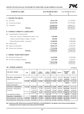

| <b>PARTICULARS</b>                                     | <b>31st MARCH 2013</b> | 31st MARCH 2012 |
|--------------------------------------------------------|------------------------|-----------------|
|                                                        | ₹                      | ₹               |
| <b>7: TRADE PAYABLES</b>                               |                        |                 |
| 7.1 For Goods                                          | 60,211,198             | 67,112,910      |
| For Services & Others<br>7.2                           | 143,267,938            | 112,739,430     |
| Acceptance<br>7.3                                      | 159,468,784            | 148,892,331     |
| <b>TOTAL</b>                                           | 362,947,920            | 328,744,671     |
| <b>8: OTHER CURRENT LIABILITIES</b>                    |                        |                 |
| 8.1 Current Maturity of long-term debt                 |                        |                 |
| - Term Loan - Secured - installments due within 1 year | 7,260,000              |                 |
| - Vehicle Loan from finance Company - Secured          | 883,896                | 1,022,424       |
| - Deferred Payment Liability - Unsecured               | 12,000,000             | 12,000,000      |
| <b>Statutory Dues</b><br>8.2                           | 21,712,602             | 2,147,229       |
| Interest Accrued & Due<br>8.3                          | 20,062,259             | 14,362,259      |
| <b>Advance from Customers</b><br>8.4                   | 17,916,186             | 12,149,352      |
| <b>TOTAL</b>                                           | 79,834,943             | 41,681,264      |
| <b>9: SHORT TERM PROVISION</b>                         |                        |                 |
| 9.1 Provision for Income Tax                           | 13,335,058             | 13,335,058      |
| 9.2 Provision for Employees Benefit                    | 3,077,650              | 1,010,377       |
| <b>TOTAL</b>                                           | 16,412,708             | 14,345,435      |

#### **10 : FIXED ASSETS**

**TOTAL FIXED ASSETS 31-03-13** TOTAL ASSETS 2011-12 **VEHICLES FURNITURE & FIXTURES LAND FACTORY BUILDING PONDS RESERVOIRS PLANT & MACHINERY Gross Block - Opening Balance** Additions during the year Sales/disposed off during the year Deletion On Revaluation  **Gross Block - Closing Balance** Depreciation - Opening Balance For the Year Less: Adjustment for Disposal  **Depreciation - Closing Balance** Net Carrying Amount - Current Year Net Carrying Amount - Previous Year 11,817,500 - **11,817,500 11,817,500** - - - **- 11,817,500** 11,817,500 105,674,549 243,980 **105,918,529 105,918,529** 51,445,157 3,177,173 54,622,329 **54,622,329 51,926,199** 54,519,622 2,123,983 **2,123,983 2,123,983** 312,282 34,621 346,903 **346,903 1,777,080** 1,811,701 403,724,554 23,211,971 **426,936,525** 1,468,991 **425,467,534** 323,242,976 23,659,599 346,902,575 1,064,745 - - - **345,837,830 79,629,704** 80,481,571 11,726,578 9,090 **11,735,668 11,735,668** 7,764,348 618,942 8,383,290 **8,383,290 3,352,378** 3,671,990 7,043,169 815,858 **7,859,027 7,859,027** 2,963,326 606,702, 3,570,028 **4,288,999** 4,079,860 **3,570,028 542,110,333 24,280,899 566,391,232 1,468,991 564,922,241 385,728,089 28,097,037 413,825,126 1,064,745 412,760,381 152,161,860** 156,382,244 527,564,857 24,093,023 551,657,880 9,547,547 542,110,333 366,469,748 24,633,607 391,103,355 5,375,266 385,728,089 156,382,244 **FIXED ASSETS - TANGIBLE** - - - - - - - - - - - - **-** - - -

Note : During the year 2008 - 2009 the land was revalued by ₹ 106,032,522/- out of which ₹ 94,690,276/-\* was adjusted on sale in that year and after adjustment **of subsequent land sale the revaluation reserve balance stands at 10,844,896/-** `

In Rupees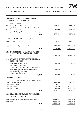

|                      | <b>PARTICULARS</b>                                                                                                                                                                      | 31st MARCH 2013 31st MARCH 2012                                      |                                                                      |  |
|----------------------|-----------------------------------------------------------------------------------------------------------------------------------------------------------------------------------------|----------------------------------------------------------------------|----------------------------------------------------------------------|--|
|                      |                                                                                                                                                                                         | ₹                                                                    | ₹                                                                    |  |
|                      | <b>11 : NON-CURRENT INVESTMENTS IN</b><br><b>ASSOCIATES (AT COST)</b>                                                                                                                   |                                                                      |                                                                      |  |
| (i)                  | Trade - Unquoted<br>Equity Shares in Moana Technologies India Pvt. Ltd.                                                                                                                 | 1,270,450                                                            | 1,270,450                                                            |  |
| (ii)                 | (12704 Equity Shares of ₹100/- each fully paid)<br>Gourmet Delhicatessens Ltd.<br>(2,50,000 Equity Shares of ₹ 10/- each fully paid)                                                    | 2,500,000                                                            | 2,500,000                                                            |  |
|                      | <b>TOTAL</b>                                                                                                                                                                            | 3,770,450                                                            | 3,770,450                                                            |  |
|                      | 12 : DEFERRED TAX ASSETS (NET)                                                                                                                                                          |                                                                      |                                                                      |  |
| 12.1                 | Provision for Employees Benefit                                                                                                                                                         | 4,406,315                                                            | 1,160,854                                                            |  |
| 12.2                 | Unabsorbed Depreciation and Business Loss                                                                                                                                               | 18,904,583                                                           | 37,915,491                                                           |  |
|                      | <b>TOTAL</b>                                                                                                                                                                            | 23,310,898                                                           | 39,076,345                                                           |  |
|                      | 13: LONGTERM LOANS AND ADVANCES -<br><b>UNSECURED, CONSIDERED GOOD</b>                                                                                                                  |                                                                      |                                                                      |  |
|                      | Other Loans / Advances                                                                                                                                                                  | 24,888,208                                                           | 20, 147, 813                                                         |  |
|                      | 14: CURRENT INVESTMENT IN MUTUAL<br><b>FUND - AT COST</b>                                                                                                                               |                                                                      |                                                                      |  |
|                      | Union KBC tax Saver Fund                                                                                                                                                                | 2,00,000                                                             | 2,00,000                                                             |  |
|                      | 200 units @ ₹ 1000/- each<br>(Market value ₹ 235,000/- previous year 224,088)<br>Union KBC Capital Protection Oriented Fund<br>500 Units @ ₹ 1,000/- each<br>(Market value ₹ 599,320/-) | 5,00,000                                                             |                                                                      |  |
|                      | <b>TOTAL</b>                                                                                                                                                                            | 7,00,000                                                             | 2,00,000                                                             |  |
|                      | <b>15: INVENTORIES</b>                                                                                                                                                                  |                                                                      |                                                                      |  |
| 15.2<br>15.3<br>15.4 | (At cost or net realisable value, whichever is lower)<br>15.1 Consumable Stores<br><b>Raw Materials</b><br>Process Stock<br><b>Finished Goods</b><br><b>TOTAL</b>                       | 34,018,630<br>185,549,117<br>36,977,934<br>96,036,040<br>352,581,721 | 19,429,451<br>99,075,317<br>46,815,057<br>148,775,576<br>314,095,401 |  |
|                      | 16: TRADE RECEIVABLES - UNSECURED,                                                                                                                                                      |                                                                      |                                                                      |  |
| 16.1<br>16.2         | <b>CONSIDERED GOOD</b><br>Outstanding for a period exceeding six months<br>Others<br><b>TOTAL</b>                                                                                       | 129,846,484<br>328,055,129<br>457,901,613                            | 163,674,012<br>180,370,136<br>344,044,148                            |  |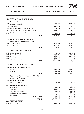

|      | <b>PARTICULARS</b>                                                                                         | 31st MARCH 2013 31st MARCH 2012<br>₹ | ₹                  |
|------|------------------------------------------------------------------------------------------------------------|--------------------------------------|--------------------|
|      |                                                                                                            |                                      |                    |
|      | <b>17: CASH AND BANK BALANCES</b>                                                                          |                                      |                    |
|      | <b>Cash and Cash Equivalents</b>                                                                           |                                      |                    |
| 17.1 | <b>Balances with Banks</b>                                                                                 | 58,166,825                           | 2,299,623          |
| 17.2 | Cash in hand                                                                                               | 1,088,960                            | 461,859            |
| 17.3 | Balance with banks as Margin Money                                                                         | 39,322,450                           | 33,983,874         |
| 17.4 | Other Bank Deposits of more than 12 months                                                                 | 68,211,174                           | 38,896,564         |
| 17.5 | No - Lien Account with Canara Bank                                                                         | 48,000,000                           | 48,000,000         |
|      | <b>TOTAL</b>                                                                                               | 214,789,409                          | 123,641,920        |
|      | <b>18: SHORT-TERM LOANS &amp; ADVANCES</b>                                                                 |                                      |                    |
|      | UNSECURED, CONSIDERED GOOD                                                                                 |                                      |                    |
| 18.1 | <b>Advance to Parties</b>                                                                                  | 121,989,256                          | 111,954,428        |
| 18.2 | Advance to Staff                                                                                           | 1,528,545                            | 1,042,979          |
|      | <b>TOTAL</b>                                                                                               | 123,517,801                          | 112,997,407        |
|      | <b>19: OTHER CURRENT ASSETS</b>                                                                            |                                      |                    |
| 19.1 | Claims Receivable                                                                                          | 411,219                              | 3,774,245          |
| 19.1 | Interest Receivable                                                                                        | 1,547,756                            | 967,602            |
| 19.2 | <b>Tax Deducted At Source</b>                                                                              | 3,528,985                            | 2,291,081          |
| 19.2 | Advance Income Tax<br><b>TOTAL</b>                                                                         | 27,893,890                           | $\Omega$           |
|      |                                                                                                            | 33,381,850                           | 7,032,928          |
| 20:  | <b>REVENUE FROM OPERATIONS</b>                                                                             |                                      |                    |
| 20.1 | <b>Revenue from Sale of Products</b>                                                                       |                                      |                    |
|      | Export                                                                                                     | 9,009,966                            | 58, 103, 497       |
|      | Domestic                                                                                                   | 1,540,526,030                        | 962, 465, 015      |
|      | <b>TOTAL</b>                                                                                               | 1,549,535,996                        | 1,020,568,512      |
|      | Export includes benefits to the extent of $\bar{\mathfrak{F}}$ 548,646/-<br>(Previous Year ₹ 3,932,677/-). |                                      |                    |
|      | 20.2 Revenue from Services                                                                                 |                                      |                    |
|      | Processing Charges                                                                                         | 16,286,604                           | 10,660,318         |
| 20.3 | <b>Other Operating Revenues</b>                                                                            |                                      |                    |
|      | Consultancy                                                                                                | 909,733                              | 647,907            |
|      | Scrap Sales                                                                                                | 2,881,484                            | 2,122,427          |
|      | Sea Freight Assistance<br>Anti dumping Duty Refund                                                         | 103,361                              | 125,462<br>579,281 |
|      | <b>Stores Sales</b>                                                                                        | 491,355                              | 15,000             |
|      | <b>SUB TOTAL</b>                                                                                           | 4,385,933                            | 3,490,077          |
|      | <b>TOTAL</b>                                                                                               | 1,570,208,533                        | 1,034,718,907      |
|      | <b>21: OTHER INCOME</b>                                                                                    |                                      |                    |
| 21.1 | Interest on Deposits                                                                                       | 5,766,357                            | 6,602,075          |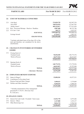

| ₹<br>₹<br>22:<br><b>COST OF MATERIALS CONSUMED</b><br>22.1<br>Fish Meal<br>274,820,759<br>162,947,236<br>Soya DOC<br>127,667,503<br>348,924,878<br>Sundry Items*<br>409,235,817<br>277,913,428<br>Raw / Processed Shrimps - Head on / Headless<br>2,887,600<br>80,723,746<br>22.2<br>S S Crab / Crab<br>100,737<br>5,652,397<br>22.3<br>1,035,969,791<br>654,904,310<br><b>SUB TOTAL</b><br>Carriage Inward<br>6,726,677<br>2,985,107<br>1,042,696,468<br>657,889,417<br><b>GRAND TOTAL</b><br>* Includes individual items of less than 10% of the<br>total and therefore, not considered for the above<br>classification.<br><b>CHANGE IN INVENTORIES OF FINISHED</b><br>23:<br><b>GOODS</b><br>23.1<br>Closing Stock of:<br><b>Finished Goods</b><br>96,036,040<br>148,775,576<br>Work-in-Process<br>36,977,934<br>46,815,057<br><b>TOTAL</b><br>133,013,974<br>195,590,633<br>23.2<br>Opening Stock of:<br><b>Finished Goods</b><br>173,779,956<br>148,775,576<br>Work-in-Process<br>55,797,984<br>46,815,057<br><b>TOTAL</b><br>195,590,633<br>229,577,940<br>(Increase) / Decrease<br>62,576,659<br>33,987,307<br><b>EMPLOYEES BENEFIT EXPENSE</b><br>24:<br>24.1<br>Salary & Wages*<br>53,890,381<br>43,877,531<br>24.2<br>Contribution To Provident Fund,<br>Pension Fund and Other Charges<br>3,690,621<br>3,379,809<br>24.3 Welfare and Other Amenities<br>9,650,654<br>8,400,383<br>55, 657, 723<br>67,231,656<br><b>TOTAL</b><br>* Includes remuneration of key management<br>personnel ₹.17,79,551/- (Previous Year<br>₹.17,98,320/-)<br><b>25: FINANCE COSTS</b><br>25.1<br>Interest On Cash Credit / Overdraft / Term Loans<br>6,975,446<br>11,032,778<br>25.2<br>Interest - Others<br>1,147,000<br>1,555,157<br>25.3<br>Other Borrowing Cost<br>9,814,719<br>9,706,764<br>21,994,497<br>18,237,367<br><b>TOTAL</b> | <b>PARTICULARS</b> | <b>31st MARCH 2013</b> | 31st MARCH 2012 |
|-----------------------------------------------------------------------------------------------------------------------------------------------------------------------------------------------------------------------------------------------------------------------------------------------------------------------------------------------------------------------------------------------------------------------------------------------------------------------------------------------------------------------------------------------------------------------------------------------------------------------------------------------------------------------------------------------------------------------------------------------------------------------------------------------------------------------------------------------------------------------------------------------------------------------------------------------------------------------------------------------------------------------------------------------------------------------------------------------------------------------------------------------------------------------------------------------------------------------------------------------------------------------------------------------------------------------------------------------------------------------------------------------------------------------------------------------------------------------------------------------------------------------------------------------------------------------------------------------------------------------------------------------------------------------------------------------------------------------------------------------------------------------------------------------------------------------------------|--------------------|------------------------|-----------------|
|                                                                                                                                                                                                                                                                                                                                                                                                                                                                                                                                                                                                                                                                                                                                                                                                                                                                                                                                                                                                                                                                                                                                                                                                                                                                                                                                                                                                                                                                                                                                                                                                                                                                                                                                                                                                                                   |                    |                        |                 |
|                                                                                                                                                                                                                                                                                                                                                                                                                                                                                                                                                                                                                                                                                                                                                                                                                                                                                                                                                                                                                                                                                                                                                                                                                                                                                                                                                                                                                                                                                                                                                                                                                                                                                                                                                                                                                                   |                    |                        |                 |
|                                                                                                                                                                                                                                                                                                                                                                                                                                                                                                                                                                                                                                                                                                                                                                                                                                                                                                                                                                                                                                                                                                                                                                                                                                                                                                                                                                                                                                                                                                                                                                                                                                                                                                                                                                                                                                   |                    |                        |                 |
|                                                                                                                                                                                                                                                                                                                                                                                                                                                                                                                                                                                                                                                                                                                                                                                                                                                                                                                                                                                                                                                                                                                                                                                                                                                                                                                                                                                                                                                                                                                                                                                                                                                                                                                                                                                                                                   |                    |                        |                 |
|                                                                                                                                                                                                                                                                                                                                                                                                                                                                                                                                                                                                                                                                                                                                                                                                                                                                                                                                                                                                                                                                                                                                                                                                                                                                                                                                                                                                                                                                                                                                                                                                                                                                                                                                                                                                                                   |                    |                        |                 |
|                                                                                                                                                                                                                                                                                                                                                                                                                                                                                                                                                                                                                                                                                                                                                                                                                                                                                                                                                                                                                                                                                                                                                                                                                                                                                                                                                                                                                                                                                                                                                                                                                                                                                                                                                                                                                                   |                    |                        |                 |
|                                                                                                                                                                                                                                                                                                                                                                                                                                                                                                                                                                                                                                                                                                                                                                                                                                                                                                                                                                                                                                                                                                                                                                                                                                                                                                                                                                                                                                                                                                                                                                                                                                                                                                                                                                                                                                   |                    |                        |                 |
|                                                                                                                                                                                                                                                                                                                                                                                                                                                                                                                                                                                                                                                                                                                                                                                                                                                                                                                                                                                                                                                                                                                                                                                                                                                                                                                                                                                                                                                                                                                                                                                                                                                                                                                                                                                                                                   |                    |                        |                 |
|                                                                                                                                                                                                                                                                                                                                                                                                                                                                                                                                                                                                                                                                                                                                                                                                                                                                                                                                                                                                                                                                                                                                                                                                                                                                                                                                                                                                                                                                                                                                                                                                                                                                                                                                                                                                                                   |                    |                        |                 |
|                                                                                                                                                                                                                                                                                                                                                                                                                                                                                                                                                                                                                                                                                                                                                                                                                                                                                                                                                                                                                                                                                                                                                                                                                                                                                                                                                                                                                                                                                                                                                                                                                                                                                                                                                                                                                                   |                    |                        |                 |
|                                                                                                                                                                                                                                                                                                                                                                                                                                                                                                                                                                                                                                                                                                                                                                                                                                                                                                                                                                                                                                                                                                                                                                                                                                                                                                                                                                                                                                                                                                                                                                                                                                                                                                                                                                                                                                   |                    |                        |                 |
|                                                                                                                                                                                                                                                                                                                                                                                                                                                                                                                                                                                                                                                                                                                                                                                                                                                                                                                                                                                                                                                                                                                                                                                                                                                                                                                                                                                                                                                                                                                                                                                                                                                                                                                                                                                                                                   |                    |                        |                 |
|                                                                                                                                                                                                                                                                                                                                                                                                                                                                                                                                                                                                                                                                                                                                                                                                                                                                                                                                                                                                                                                                                                                                                                                                                                                                                                                                                                                                                                                                                                                                                                                                                                                                                                                                                                                                                                   |                    |                        |                 |
|                                                                                                                                                                                                                                                                                                                                                                                                                                                                                                                                                                                                                                                                                                                                                                                                                                                                                                                                                                                                                                                                                                                                                                                                                                                                                                                                                                                                                                                                                                                                                                                                                                                                                                                                                                                                                                   |                    |                        |                 |
|                                                                                                                                                                                                                                                                                                                                                                                                                                                                                                                                                                                                                                                                                                                                                                                                                                                                                                                                                                                                                                                                                                                                                                                                                                                                                                                                                                                                                                                                                                                                                                                                                                                                                                                                                                                                                                   |                    |                        |                 |
|                                                                                                                                                                                                                                                                                                                                                                                                                                                                                                                                                                                                                                                                                                                                                                                                                                                                                                                                                                                                                                                                                                                                                                                                                                                                                                                                                                                                                                                                                                                                                                                                                                                                                                                                                                                                                                   |                    |                        |                 |
|                                                                                                                                                                                                                                                                                                                                                                                                                                                                                                                                                                                                                                                                                                                                                                                                                                                                                                                                                                                                                                                                                                                                                                                                                                                                                                                                                                                                                                                                                                                                                                                                                                                                                                                                                                                                                                   |                    |                        |                 |
|                                                                                                                                                                                                                                                                                                                                                                                                                                                                                                                                                                                                                                                                                                                                                                                                                                                                                                                                                                                                                                                                                                                                                                                                                                                                                                                                                                                                                                                                                                                                                                                                                                                                                                                                                                                                                                   |                    |                        |                 |
|                                                                                                                                                                                                                                                                                                                                                                                                                                                                                                                                                                                                                                                                                                                                                                                                                                                                                                                                                                                                                                                                                                                                                                                                                                                                                                                                                                                                                                                                                                                                                                                                                                                                                                                                                                                                                                   |                    |                        |                 |
|                                                                                                                                                                                                                                                                                                                                                                                                                                                                                                                                                                                                                                                                                                                                                                                                                                                                                                                                                                                                                                                                                                                                                                                                                                                                                                                                                                                                                                                                                                                                                                                                                                                                                                                                                                                                                                   |                    |                        |                 |
|                                                                                                                                                                                                                                                                                                                                                                                                                                                                                                                                                                                                                                                                                                                                                                                                                                                                                                                                                                                                                                                                                                                                                                                                                                                                                                                                                                                                                                                                                                                                                                                                                                                                                                                                                                                                                                   |                    |                        |                 |
|                                                                                                                                                                                                                                                                                                                                                                                                                                                                                                                                                                                                                                                                                                                                                                                                                                                                                                                                                                                                                                                                                                                                                                                                                                                                                                                                                                                                                                                                                                                                                                                                                                                                                                                                                                                                                                   |                    |                        |                 |
|                                                                                                                                                                                                                                                                                                                                                                                                                                                                                                                                                                                                                                                                                                                                                                                                                                                                                                                                                                                                                                                                                                                                                                                                                                                                                                                                                                                                                                                                                                                                                                                                                                                                                                                                                                                                                                   |                    |                        |                 |
|                                                                                                                                                                                                                                                                                                                                                                                                                                                                                                                                                                                                                                                                                                                                                                                                                                                                                                                                                                                                                                                                                                                                                                                                                                                                                                                                                                                                                                                                                                                                                                                                                                                                                                                                                                                                                                   |                    |                        |                 |
|                                                                                                                                                                                                                                                                                                                                                                                                                                                                                                                                                                                                                                                                                                                                                                                                                                                                                                                                                                                                                                                                                                                                                                                                                                                                                                                                                                                                                                                                                                                                                                                                                                                                                                                                                                                                                                   |                    |                        |                 |
|                                                                                                                                                                                                                                                                                                                                                                                                                                                                                                                                                                                                                                                                                                                                                                                                                                                                                                                                                                                                                                                                                                                                                                                                                                                                                                                                                                                                                                                                                                                                                                                                                                                                                                                                                                                                                                   |                    |                        |                 |
|                                                                                                                                                                                                                                                                                                                                                                                                                                                                                                                                                                                                                                                                                                                                                                                                                                                                                                                                                                                                                                                                                                                                                                                                                                                                                                                                                                                                                                                                                                                                                                                                                                                                                                                                                                                                                                   |                    |                        |                 |
|                                                                                                                                                                                                                                                                                                                                                                                                                                                                                                                                                                                                                                                                                                                                                                                                                                                                                                                                                                                                                                                                                                                                                                                                                                                                                                                                                                                                                                                                                                                                                                                                                                                                                                                                                                                                                                   |                    |                        |                 |
|                                                                                                                                                                                                                                                                                                                                                                                                                                                                                                                                                                                                                                                                                                                                                                                                                                                                                                                                                                                                                                                                                                                                                                                                                                                                                                                                                                                                                                                                                                                                                                                                                                                                                                                                                                                                                                   |                    |                        |                 |
|                                                                                                                                                                                                                                                                                                                                                                                                                                                                                                                                                                                                                                                                                                                                                                                                                                                                                                                                                                                                                                                                                                                                                                                                                                                                                                                                                                                                                                                                                                                                                                                                                                                                                                                                                                                                                                   |                    |                        |                 |
|                                                                                                                                                                                                                                                                                                                                                                                                                                                                                                                                                                                                                                                                                                                                                                                                                                                                                                                                                                                                                                                                                                                                                                                                                                                                                                                                                                                                                                                                                                                                                                                                                                                                                                                                                                                                                                   |                    |                        |                 |
|                                                                                                                                                                                                                                                                                                                                                                                                                                                                                                                                                                                                                                                                                                                                                                                                                                                                                                                                                                                                                                                                                                                                                                                                                                                                                                                                                                                                                                                                                                                                                                                                                                                                                                                                                                                                                                   |                    |                        |                 |
|                                                                                                                                                                                                                                                                                                                                                                                                                                                                                                                                                                                                                                                                                                                                                                                                                                                                                                                                                                                                                                                                                                                                                                                                                                                                                                                                                                                                                                                                                                                                                                                                                                                                                                                                                                                                                                   |                    |                        |                 |
|                                                                                                                                                                                                                                                                                                                                                                                                                                                                                                                                                                                                                                                                                                                                                                                                                                                                                                                                                                                                                                                                                                                                                                                                                                                                                                                                                                                                                                                                                                                                                                                                                                                                                                                                                                                                                                   |                    |                        |                 |
|                                                                                                                                                                                                                                                                                                                                                                                                                                                                                                                                                                                                                                                                                                                                                                                                                                                                                                                                                                                                                                                                                                                                                                                                                                                                                                                                                                                                                                                                                                                                                                                                                                                                                                                                                                                                                                   |                    |                        |                 |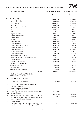

|       | <b>PARTICULARS</b>                                                                          | <b>31st MARCH 2013</b> | 31st MARCH 2012 |  |
|-------|---------------------------------------------------------------------------------------------|------------------------|-----------------|--|
|       |                                                                                             | ₹                      | ₹               |  |
| 26:   | <b>OTHER EXPENSES</b>                                                                       |                        |                 |  |
|       | Processing Charges                                                                          | 12,078,687             | 8,512,659       |  |
|       | Consumable and Stores Consumed                                                              | 76, 237, 211           | 37,588,092      |  |
|       | Power & Utilities                                                                           | 31,821,544             | 23,329,588      |  |
|       | Other Manufacturing Expenses                                                                | 6,537,559              | 7,835,844       |  |
|       | Discount On Sales                                                                           | 92,973,576             | 64,028,815      |  |
|       | Rent                                                                                        | 3,175,514              | 1,958,014       |  |
|       | Rates & Taxes                                                                               | 384,193                | 352,839         |  |
|       | Repairs to Building                                                                         | 5,913,422              | 5,934,564       |  |
|       | Repairs to Machinery                                                                        | 555,038                | 283,039         |  |
|       | Repairs Others                                                                              | 2,536,127              | 2,146,598       |  |
|       | Insurance                                                                                   | 2,496,643              | 1,798,513       |  |
|       | Freight Outward                                                                             | 1,643,954              | 350,733         |  |
|       | <b>Selling Expenses</b>                                                                     | 15,083,805             | 7,924,653       |  |
|       | Legal & Professional Charges                                                                | 1,756,285              | 1,566,492       |  |
|       | Vehicle Maintenance                                                                         | 4,339,602              | 3,330,267       |  |
|       | <b>Travelling Expenses</b>                                                                  | 8,543,416              | 6,839,945       |  |
|       | Secretarial Expenses                                                                        | 943,787                | 1,454,527       |  |
|       | <b>Consultancy Charges</b>                                                                  | 3,294,250              | 2,450,630       |  |
|       | <b>Business Communication Cost</b>                                                          | 1,232,731              | 1,156,129       |  |
|       | Net Loss on Foreign Currency Transaction                                                    |                        | 585,085         |  |
|       | Interest - Others                                                                           | 2,690,540              | 1,275           |  |
|       | Miscellaneous Expenses*                                                                     | 2,705,320              | 2,768,929       |  |
|       | <b>Auditors' Remuneration:</b>                                                              |                        |                 |  |
|       | <b>Statutory Audit Fees</b>                                                                 | 168,540                | 168,540         |  |
|       | <b>Tax Audit Fees</b>                                                                       | 28,090                 | 28,090          |  |
|       | Reimbursement of Expenses                                                                   | 95,250                 | 45,173          |  |
|       | <b>TOTAL</b>                                                                                | 277,235,084            | 182,439,033     |  |
|       | * Includes Sitting Fees of $\bar{\tau}$ 2,35,000/-<br>(Previous Year ₹ 2,90,000/-)          |                        |                 |  |
| 27:   | <b>EXCEPTIONAL ITEMS</b>                                                                    |                        |                 |  |
| 27.1  | Loss on Sale of Fixed Assets                                                                | (293,996)              | (159,216)       |  |
| 28 :  | <b>CONTINGENT LIABILITES AND</b><br><b>COMMITMENTS</b><br>(to the extent not provided for)  |                        |                 |  |
| 28.1  | <b>Contingent liabilities</b>                                                               |                        |                 |  |
| (i)   | Claims against Company not acknowledged as debt                                             | 61, 123, 555           |                 |  |
| (ii)  | <b>Bank Guarantees</b>                                                                      | 26, 111, 942           | 22,215,412      |  |
| (iii) | Interest on dues to Canara Bank has not been                                                |                        |                 |  |
|       | provided as the settlement is under negotiation and<br>hence not quantifiable at this stage | 10,663,008             | 55,963,886      |  |
| 28.2  | <b>Commitments</b><br>Estimated amount of contracts remaining to be                         |                        | 18,407,034      |  |
|       | executed on capital account and not provided for                                            |                        |                 |  |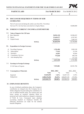

|              | <b>PARTICULARS</b>                                                                                                              |              |               | <b>31st MARCH 2013</b> | 31st MARCH 2012 |               |
|--------------|---------------------------------------------------------------------------------------------------------------------------------|--------------|---------------|------------------------|-----------------|---------------|
|              |                                                                                                                                 |              |               | ₹                      | ₹               |               |
| 29:          | DISCLOSURE REQUIRED IN TERMS OF SEBI<br><b>GUIDELINES</b>                                                                       |              |               |                        |                 |               |
|              | Part of Loan received during the earlier year from M/s. Towerbase<br>Services Pvt. Ltd. has been converted in to Equity Shares. |              |               |                        |                 | 10,000,000    |
| 30:          | <b>FOREIGN CURRENCY INCOME &amp; EXPENDITURE</b>                                                                                |              |               |                        |                 |               |
| 30.1         | Value of Imports On CIF basis                                                                                                   |              |               |                        |                 |               |
| a)           | Raw Materials                                                                                                                   |              |               | 38,501,220             |                 | 18,980,452    |
| $\mathbf{b}$ | Spares                                                                                                                          |              |               | 23,649,677             |                 | 6,307,491     |
| c)           | Capital Goods                                                                                                                   |              |               | 19,503,073             |                 | 7,448,103     |
|              |                                                                                                                                 | <b>TOTAL</b> |               | 81,653,970             |                 | 32,736,046    |
| 31:          | <b>Expenditure in Foreign Currency</b>                                                                                          |              |               |                        |                 |               |
| a)           | <b>Travelling Expenses</b>                                                                                                      |              |               | 1,326,406              |                 | 1,068,168     |
| b)           | Subscription                                                                                                                    |              |               | 77,033                 |                 | 52,250        |
| c)           | Insurance                                                                                                                       |              |               | 34,853                 |                 | 36,044        |
| d)           | <b>Consultancy Services</b>                                                                                                     |              |               | 775,028                |                 | 408,340       |
| e)           | Anti dumping Duty                                                                                                               |              |               |                        |                 | 157,104       |
|              |                                                                                                                                 | <b>TOTAL</b> |               | 2,213,320              |                 | 1,721,906     |
| 31.1         | <b>Earnings in Foreign Exchange</b>                                                                                             |              |               |                        |                 |               |
|              | F O B Value of Exports                                                                                                          |              |               | 7,935,881              |                 | 44,501,706    |
| 31.2         | <b>Consumption of Materials</b>                                                                                                 |              |               | $2012 - 2013$          |                 | 2011 - 2012   |
|              |                                                                                                                                 |              | Value         | $\frac{0}{0}$          | Value           | $\frac{0}{0}$ |
|              | Imported                                                                                                                        |              | 35,830,095    | 3.46%                  | 16,047,134      | 2.45%         |
|              | Indigenious                                                                                                                     |              | 1,000,139,696 | $96.54\%$              | 638, 857, 176   | 97.55%        |
|              |                                                                                                                                 | <b>TOTAL</b> | 1,035,969,791 | 100.00%                | 654,904,310     | 100.00%       |

#### **32 : EMPLOYEES BENEFITS**

In case of defined contribution plans, the Company's contribution are charged since the Company has no further obligation beyond making the contribution. In case of defined benefits plans, the acturial gain and losses arising on actuarial valuation based on projected unit credit method are charged to statement of Profit & Loss. Consequent upon adopting accounting standard on Employee benefits the following disclosures are made for the defined benefits obligation: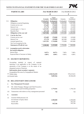

| <b>PARTICULARS</b>                                                                                                                                                                                                                                                                                        |                                                         |                                                                     | <b>31st MARCH 2013</b>                                                                                    |                                                                                 | 31st MARCH 2012                                                                            |
|-----------------------------------------------------------------------------------------------------------------------------------------------------------------------------------------------------------------------------------------------------------------------------------------------------------|---------------------------------------------------------|---------------------------------------------------------------------|-----------------------------------------------------------------------------------------------------------|---------------------------------------------------------------------------------|--------------------------------------------------------------------------------------------|
|                                                                                                                                                                                                                                                                                                           |                                                         |                                                                     | ₹                                                                                                         |                                                                                 | ₹                                                                                          |
| 32.1<br>Obligation<br>Obligation at period beginning<br>Current service cost<br><b>Interest Cost</b><br>Acturial gain $(+)$ / loss $(-)$<br><b>Benefits Paid</b>                                                                                                                                          | (Unfunded)                                              | Gratuity<br>7,935,000<br>674,685<br>137,370<br>1,367,951<br>647,140 | Leave<br>Encashment<br>(Unfunded)<br>2,286,000<br>270,000<br>149,000<br>1,710,000<br>305,000<br>4,110,000 | Gratuity<br>(Unfunded)<br>6,604,000<br>545,000<br>462,000<br>719,000<br>395,000 | Leave<br>Encashment<br>(Unfunded)<br>1,663,000<br>149,000<br>116,000<br>603,000<br>245,000 |
| Obligation at the year end<br><b>Cost for the Year</b><br>32.2<br>Current service cost<br><b>Interest Cost</b><br>Acturial (gain)/Loss<br>Net Cost recognised in the<br><b>Statement of Profit &amp; Loss</b>                                                                                             |                                                         | 9,467,866<br>674,685<br>137,370<br>1,367,951<br>2,180,006           | 270,000<br>149,000<br>1,710,000<br>2,129,000                                                              | 7,935,000<br>545,000<br>462,000<br>719,000<br>1,726,000                         | 2,286,000<br>149,000<br>116,000<br>603,000<br>868,000                                      |
| Assumption used to determine<br>32.3<br>the benefit obligation<br><b>Interest Rate</b><br>Expected Rate of increase in Salary<br><b>33 : SEGMENT REPORTING</b>                                                                                                                                            |                                                         | 8.07%<br>4.00%                                                      | 8.07%<br>4.00%                                                                                            | 7.00%<br>4.00%                                                                  | 7.00%<br>4.00%                                                                             |
| standard in<br>Accounting<br>reporting is not applicable to the Company as the<br>operations of the Company is in the nature of an<br>integrated system of function.<br>Information about secondary segments:<br>Geographical Revenue by Geographical Market:<br>$(i)$ Within India<br>(ii) Outside India | respect of<br>segment                                   |                                                                     | 1,540,526,030<br>9,009,966                                                                                |                                                                                 | 970,619,821<br>49,948,690                                                                  |
| <b>34 : RELATED PARTY DISCLOSURE</b>                                                                                                                                                                                                                                                                      |                                                         |                                                                     |                                                                                                           |                                                                                 |                                                                                            |
| <b>Key Management Personnel:</b><br>a                                                                                                                                                                                                                                                                     |                                                         |                                                                     |                                                                                                           |                                                                                 |                                                                                            |
| (i)<br>Remuneration paid including perquisites                                                                                                                                                                                                                                                            | Mr. Ashok Nanjapa, Manager and Chief Executive.         |                                                                     | 1,779,551                                                                                                 |                                                                                 | 1,798,320                                                                                  |
| (ii)                                                                                                                                                                                                                                                                                                      | Transactions with relatives of key management personnel |                                                                     | Nil                                                                                                       |                                                                                 | Nil                                                                                        |
| <b>Associates</b><br>$\mathbf{b}$                                                                                                                                                                                                                                                                         |                                                         |                                                                     |                                                                                                           |                                                                                 |                                                                                            |
| Gourmet Delhicatessens Ltd.<br>(i)<br>Investments in Equity shares<br>Goods sold<br>Receivables                                                                                                                                                                                                           |                                                         |                                                                     | 2,500,000<br>545,186                                                                                      |                                                                                 | 2,500,000<br>593,295<br>545,186                                                            |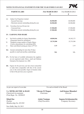

|           | <b>PARTICULARS</b>                                                                                            | <b>31st MARCH 2013</b><br>₹ | 31st MARCH 2012<br>₹ |
|-----------|---------------------------------------------------------------------------------------------------------------|-----------------------------|----------------------|
|           |                                                                                                               |                             |                      |
| (ii)      | Indian City Properties Limited                                                                                |                             |                      |
|           | - Secured Term-loan                                                                                           | 20,500,000                  | 20,500,000           |
|           | - Maximum amount outstanding during the year                                                                  | 20,500,000                  | 20,500,000           |
| (iii)     | Towerbase Services Private Ltd.                                                                               |                             |                      |
|           | - Unsecured loan                                                                                              | 47,500,000                  | 47,500,000           |
|           | - Maximum amount outstanding during the year                                                                  | 47,500,000                  | 57,500,000           |
|           | <b>35: EARNING PER SHARE</b>                                                                                  |                             |                      |
| a)        | Net Profit available for Equity Shareholders                                                                  | 60,084,046                  | 56, 342, 173         |
|           | (Numerator based for calculation)                                                                             | 25,735,500                  | 25,735,500           |
| b)        | Weighted average number of Equity Shares                                                                      |                             |                      |
| $\circ$ ) | (Used as denominator for calculating EPS)<br>Basic and diluted earning per share of $\bar{\mathfrak{F}}$ 10/- | 2.33                        | 2.19                 |
|           |                                                                                                               |                             |                      |
| 36:       | Amount outstanding for more than 30 days                                                                      |                             |                      |
|           | payable to small and ancillary undertakings                                                                   | <b>NIL</b>                  | <b>NIL</b>           |
| 37:       | On the basis of available information the suppliers                                                           |                             |                      |
|           | are not registered under Micro, small and Medium                                                              |                             |                      |
|           | Enterprise Development Act, 2006                                                                              |                             |                      |
|           | 38 : Figures for the previous year have been reclassified                                                     |                             |                      |
|           | to make them comparable with that of the current                                                              |                             |                      |
|           | year, to the extent possible. Figure in brackets relate                                                       |                             |                      |
|           | to that of the previous year, in general.                                                                     |                             |                      |

| As per our report of even date                                            | For and on behalf of the Board          |                                                  |  |  |
|---------------------------------------------------------------------------|-----------------------------------------|--------------------------------------------------|--|--|
| For MITRA KUNDU & BASU<br>Chartered Accountants<br>Firm Regn. No. 302061E | Vikram M Thapar<br>Chairman             | Anil Kumar Bhandari<br>Director                  |  |  |
| Sibaji Das<br>Partner<br>Membership No. 051391                            | <b>Ashok Nanjapa</b><br>Chief Executive | <b>Suguna Krishnamurthy</b><br>Company Secretary |  |  |

33

New Delhi, May 24, 2013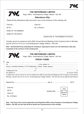



## THE WATERBASE LIMITED

## **Attendance Slip**



## **PROXY FORM**

|                                                                                                                                                                                                                                                                                                                                                                                                                                               | THE WATERBASE LIMITED<br>Regd. Office: Ananthapuram Village, Nellore - 524 344<br><b>Attendance Slip</b>                                                                                       |  |  |  |                                                                                                                              |                                                                                                               |
|-----------------------------------------------------------------------------------------------------------------------------------------------------------------------------------------------------------------------------------------------------------------------------------------------------------------------------------------------------------------------------------------------------------------------------------------------|------------------------------------------------------------------------------------------------------------------------------------------------------------------------------------------------|--|--|--|------------------------------------------------------------------------------------------------------------------------------|---------------------------------------------------------------------------------------------------------------|
| Please fill this Attendance Slip and hand it over at the entrance of the meeting hall.                                                                                                                                                                                                                                                                                                                                                        |                                                                                                                                                                                                |  |  |  |                                                                                                                              |                                                                                                               |
| Folio No.:                                                                                                                                                                                                                                                                                                                                                                                                                                    | Client ID:                                                                                                                                                                                     |  |  |  |                                                                                                                              |                                                                                                               |
| $DPID$ :                                                                                                                                                                                                                                                                                                                                                                                                                                      | No. of Shares:                                                                                                                                                                                 |  |  |  |                                                                                                                              |                                                                                                               |
| NAME OF THE MEMBER:                                                                                                                                                                                                                                                                                                                                                                                                                           |                                                                                                                                                                                                |  |  |  |                                                                                                                              |                                                                                                               |
| NAME OF THE PROXY:                                                                                                                                                                                                                                                                                                                                                                                                                            |                                                                                                                                                                                                |  |  |  |                                                                                                                              |                                                                                                               |
|                                                                                                                                                                                                                                                                                                                                                                                                                                               | SIGNATURE OF THE MEMBER OR PROXY                                                                                                                                                               |  |  |  |                                                                                                                              |                                                                                                               |
| I hereby record my presence at the 26th Annual General Meeting of the Company held on Monday,<br>July 29, 2013 at 12.15 p.m. at Ananthapuram Village, Nellore - 524 344.<br>Note: Shareholder/Proxy attending the meeting is requested to hand over the Attendance Slip duly<br>completed at the entrance of the meeting hall.<br>THE WATERBASE LIMITED<br>Regd. Office : Ananthapuram Village, Nellore - 524 344<br>TW.<br><b>PROXY FORM</b> |                                                                                                                                                                                                |  |  |  |                                                                                                                              |                                                                                                               |
|                                                                                                                                                                                                                                                                                                                                                                                                                                               |                                                                                                                                                                                                |  |  |  |                                                                                                                              | to attend and vote for me/us on my/our behalf at the 26th Annual General Meeting of the Company to be held on |
|                                                                                                                                                                                                                                                                                                                                                                                                                                               |                                                                                                                                                                                                |  |  |  | Monday, July 29, 2013 at 12.15 p.m. at Ananthapuram Village, Nellore - 524 344 and at any adjournment thereof.<br>Folio No.: |                                                                                                               |
| DP ID:                                                                                                                                                                                                                                                                                                                                                                                                                                        | Affix<br>Re. 1.00                                                                                                                                                                              |  |  |  |                                                                                                                              |                                                                                                               |
| Client ID:                                                                                                                                                                                                                                                                                                                                                                                                                                    | SIGNATURE<br>Revenue                                                                                                                                                                           |  |  |  |                                                                                                                              |                                                                                                               |
| No. of Shares:                                                                                                                                                                                                                                                                                                                                                                                                                                | Stamp                                                                                                                                                                                          |  |  |  |                                                                                                                              |                                                                                                               |
|                                                                                                                                                                                                                                                                                                                                                                                                                                               | Note : This Proxy Form must be deposited at the Registered Office of the Company at Ananthapuram Village,<br>Nellore - 524 344, not less than 48 hours before the commencement of the meeting. |  |  |  |                                                                                                                              |                                                                                                               |

| Folio No. :    |           | Affix             |  |
|----------------|-----------|-------------------|--|
| DP ID :        | SIGNATURE | Re. 1.00 <b> </b> |  |
| Client ID:     |           | Revenuel<br>Stamp |  |
| No. of Shares: |           |                   |  |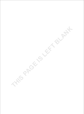**THIS PAGE IS LEFT BLANK**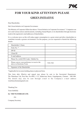

# **FOR YOUR KIND ATTENTION PLEASE**

## **GREEN INITIATIVE**

Dear Shareholder,

Sub: Green Initiative in Corporate Governance

The Ministry of Corporate Affairs has taken a "Green Initiative in Corporate Governance". Companies can now send various notices and documents, including Annual Report, to its shareholders through electronic mode to the registered e-mail addresses of shareholders.

It is a welcome move as this will reduce paper consumption to a great extent and allow shareholders to contribute towards a greener environment. For this purpose, you are requested to furnish the following details:

| Shareholder's Name                                                       |         |
|--------------------------------------------------------------------------|---------|
| Folio No. *                                                              |         |
| DP ID                                                                    |         |
| Client ID                                                                |         |
| E-mail address                                                           |         |
| Phone No. (with STD Code) / Mobile No.                                   |         |
| Please convey your preference to receive the<br>above in Electronic Form | YES /NO |
| Signature of the Shareholder                                             |         |

\*Applicable for investors holding shares in physical form.

This form duly filled-in and signed may please be sent to the Secretarial Department, The Waterbase Ltd, Post Box No.4902, # 22, Sadasivam Street, Gopalapuram, Chennai – 600 086. The details may also be sent through e-mail to the Company's e-mail address waterbasechennai@gmail.com

Thanking You

Yours faithfully

#### **for THE WATERBASE LTD.**

- Sd -

Company Secretary